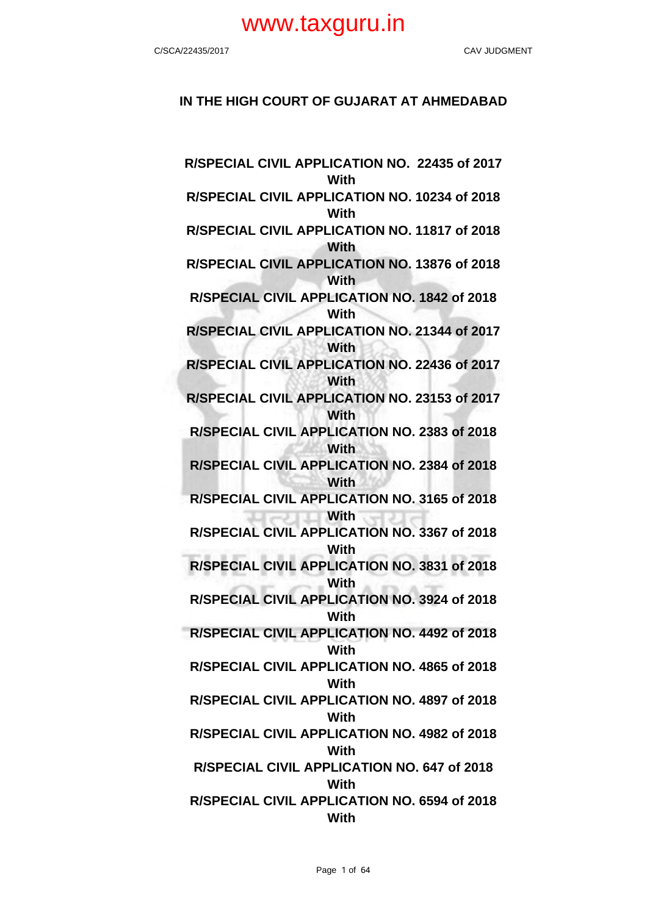## **IN THE HIGH COURT OF GUJARAT AT AHMEDABAD**

**R/SPECIAL CIVIL APPLICATION NO. 22435 of 2017 With R/SPECIAL CIVIL APPLICATION NO. 10234 of 2018 With R/SPECIAL CIVIL APPLICATION NO. 11817 of 2018 With R/SPECIAL CIVIL APPLICATION NO. 13876 of 2018 With R/SPECIAL CIVIL APPLICATION NO. 1842 of 2018 With R/SPECIAL CIVIL APPLICATION NO. 21344 of 2017 With R/SPECIAL CIVIL APPLICATION NO. 22436 of 2017 With R/SPECIAL CIVIL APPLICATION NO. 23153 of 2017 With R/SPECIAL CIVIL APPLICATION NO. 2383 of 2018 With R/SPECIAL CIVIL APPLICATION NO. 2384 of 2018 With R/SPECIAL CIVIL APPLICATION NO. 3165 of 2018 With R/SPECIAL CIVIL APPLICATION NO. 3367 of 2018 With R/SPECIAL CIVIL APPLICATION NO. 3831 of 2018 With R/SPECIAL CIVIL APPLICATION NO. 3924 of 2018 With R/SPECIAL CIVIL APPLICATION NO. 4492 of 2018 With R/SPECIAL CIVIL APPLICATION NO. 4865 of 2018 With R/SPECIAL CIVIL APPLICATION NO. 4897 of 2018 With R/SPECIAL CIVIL APPLICATION NO. 4982 of 2018 With R/SPECIAL CIVIL APPLICATION NO. 647 of 2018 With R/SPECIAL CIVIL APPLICATION NO. 6594 of 2018 With**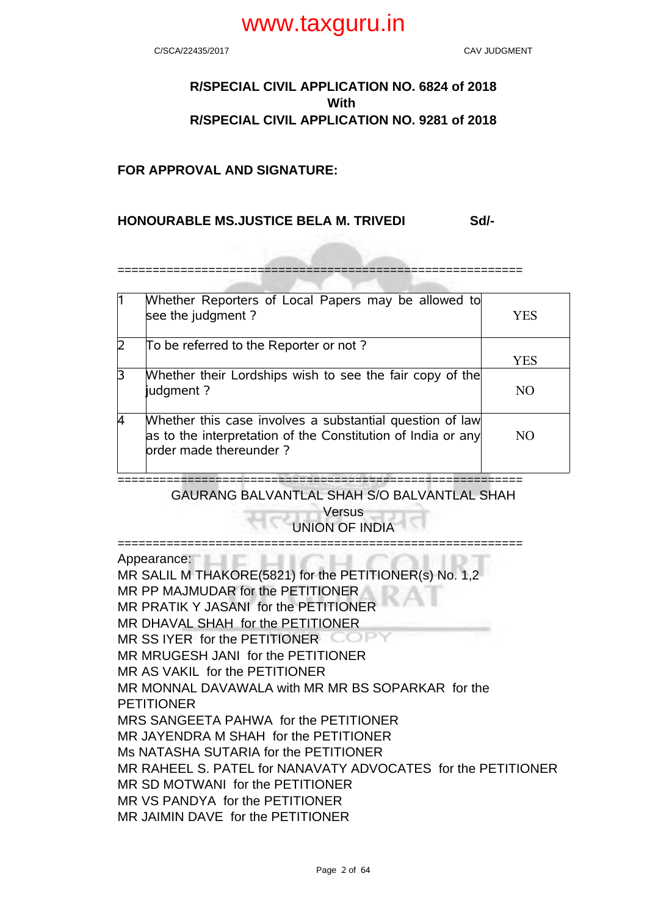C/SCA/22435/2017 CAV JUDGMENT

## **R/SPECIAL CIVIL APPLICATION NO. 6824 of 2018 With R/SPECIAL CIVIL APPLICATION NO. 9281 of 2018**

## **FOR APPROVAL AND SIGNATURE:**

## **HONOURABLE MS.JUSTICE BELA M. TRIVEDI Sd/-**

==========================================================

|   | Whether Reporters of Local Papers may be allowed to<br>see the judgment?                                                                           | YES |
|---|----------------------------------------------------------------------------------------------------------------------------------------------------|-----|
|   | To be referred to the Reporter or not?                                                                                                             |     |
|   |                                                                                                                                                    | YES |
| 3 | Whether their Lordships wish to see the fair copy of the<br>judgment?                                                                              | NO. |
|   | Whether this case involves a substantial question of law<br>as to the interpretation of the Constitution of India or any<br>order made thereunder? | NO. |

==========================================================

GAURANG BALVANTLAL SHAH S/O BALVANTLAL SHAH

Versus UNION OF INDIA

========================================================== Appearance: MR SALIL M THAKORE(5821) for the PETITIONER(s) No. 1,2 MR PP MAJMUDAR for the PETITIONER MR PRATIK Y JASANI for the PETITIONER MR DHAVAL SHAH for the PETITIONER MR SS IYER for the PETITIONER COPY MR MRUGESH JANI for the PETITIONER MR AS VAKIL for the PETITIONER MR MONNAL DAVAWALA with MR MR BS SOPARKAR for the PETITIONER MRS SANGEETA PAHWA for the PETITIONER MR JAYENDRA M SHAH for the PETITIONER Ms NATASHA SUTARIA for the PETITIONER MR RAHEEL S. PATEL for NANAVATY ADVOCATES for the PETITIONER MR SD MOTWANI for the PETITIONER MR VS PANDYA for the PETITIONER MR JAIMIN DAVE for the PETITIONER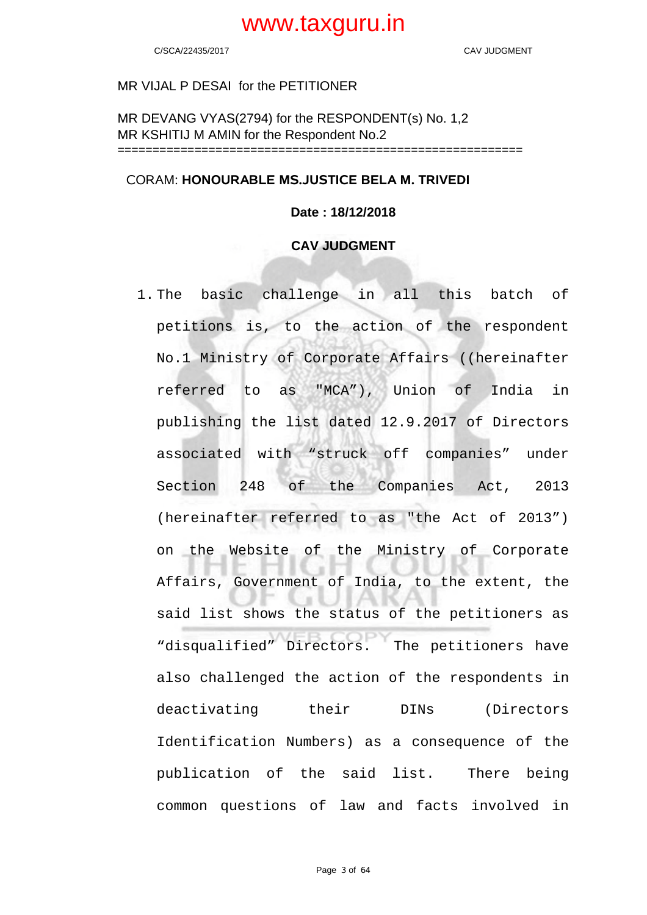## MR VIJAL P DESAI for the PETITIONER

MR DEVANG VYAS(2794) for the RESPONDENT(s) No. 1,2 MR KSHITIJ M AMIN for the Respondent No.2 ==========================================================

## CORAM: **HONOURABLE MS.JUSTICE BELA M. TRIVEDI**

## **Date : 18/12/2018**

## **CAV JUDGMENT**

1. The basic challenge in all this batch of petitions is, to the action of the respondent No.1 Ministry of Corporate Affairs ((hereinafter referred to as "MCA"), Union of India in publishing the list dated 12.9.2017 of Directors associated with "struck off companies" under Section 248 of the Companies Act, 2013 (hereinafter referred to as "the Act of 2013") on the Website of the Ministry of Corporate Affairs, Government of India, to the extent, the said list shows the status of the petitioners as "disqualified" Directors. The petitioners have also challenged the action of the respondents in deactivating their DINs (Directors Identification Numbers) as a consequence of the publication of the said list. There being common questions of law and facts involved in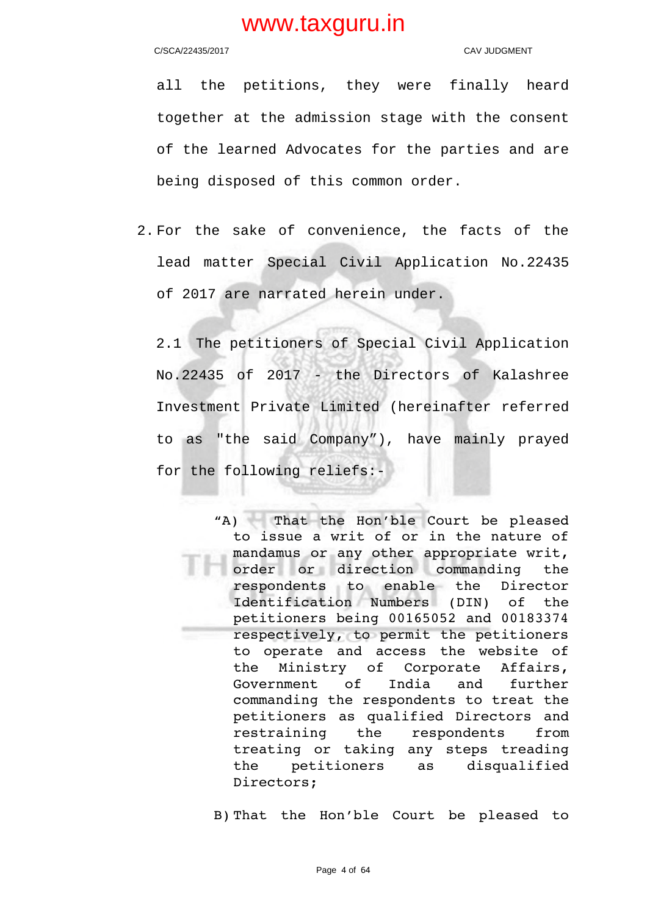C/SCA/22435/2017 CAV JUDGMENT

all the petitions, they were finally heard together at the admission stage with the consent of the learned Advocates for the parties and are being disposed of this common order.

2. For the sake of convenience, the facts of the lead matter Special Civil Application No.22435 of 2017 are narrated herein under.

2.1 The petitioners of Special Civil Application No.22435 of 2017 - the Directors of Kalashree Investment Private Limited (hereinafter referred to as "the said Company"), have mainly prayed for the following reliefs:-

> "A) That the Hon'ble Court be pleased to issue a writ of or in the nature of mandamus or any other appropriate writ, order or direction commanding the respondents to enable the Director Identification Numbers (DIN) of the petitioners being 00165052 and 00183374 respectively, to permit the petitioners to operate and access the website of the Ministry of Corporate Affairs, Government of India and further commanding the respondents to treat the petitioners as qualified Directors and restraining the respondents from treating or taking any steps treading the petitioners as disqualified Directors;

B) That the Hon'ble Court be pleased to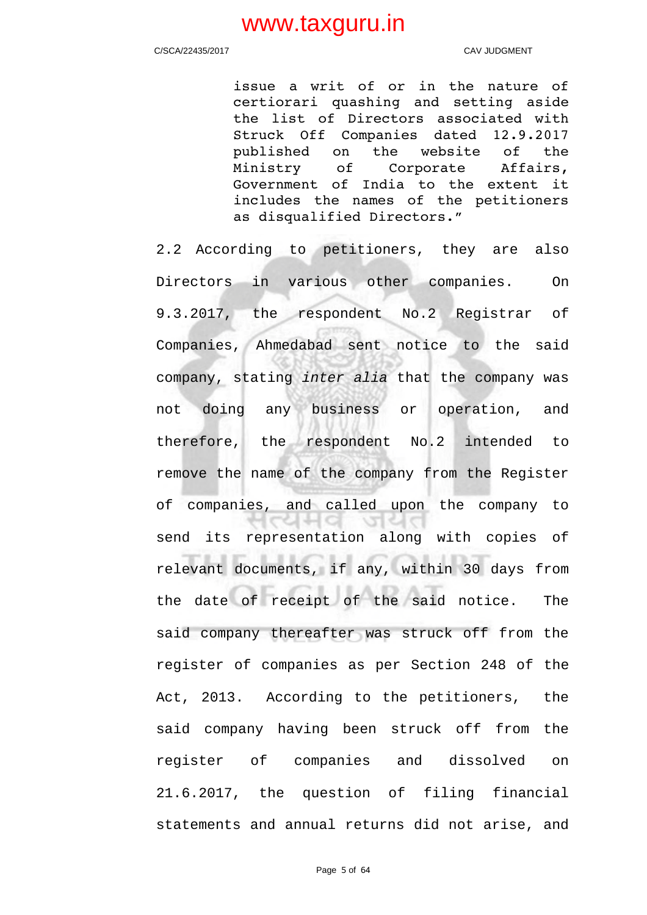C/SCA/22435/2017 CAV JUDGMENT

issue a writ of or in the nature of certiorari quashing and setting aside the list of Directors associated with Struck Off Companies dated 12.9.2017 published on the website of the Ministry of Corporate Affairs, Government of India to the extent it includes the names of the petitioners as disqualified Directors."

2.2 According to petitioners, they are also Directors in various other companies. On 9.3.2017, the respondent No.2 Registrar of Companies, Ahmedabad sent notice to the said company, stating inter alia that the company was not doing any business or operation, and therefore, the respondent No.2 intended to remove the name of the company from the Register of companies, and called upon the company to  $1$ cata 2014 send its representation along with copies of relevant documents, if any, within 30 days from the date of receipt of the said notice. The said company thereafter was struck off from the register of companies as per Section 248 of the Act, 2013. According to the petitioners, the said company having been struck off from the register of companies and dissolved on 21.6.2017, the question of filing financial statements and annual returns did not arise, and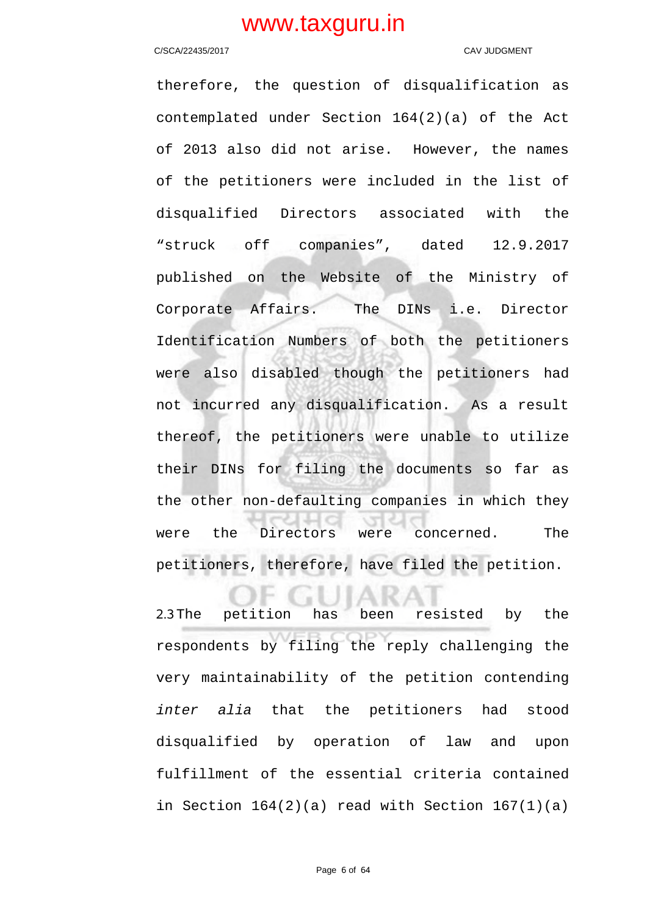### C/SCA/22435/2017 CAV JUDGMENT

therefore, the question of disqualification as contemplated under Section 164(2)(a) of the Act of 2013 also did not arise. However, the names of the petitioners were included in the list of disqualified Directors associated with the "struck off companies", dated 12.9.2017 published on the Website of the Ministry of Corporate Affairs. The DINs i.e. Director Identification Numbers of both the petitioners were also disabled though the petitioners had not incurred any disqualification. As a result thereof, the petitioners were unable to utilize their DINs for filing the documents so far as the other non-defaulting companies in which they were the Directors were concerned. The petitioners, therefore, have filed the petition.

2.3The petition has been resisted by the respondents by filing the reply challenging the very maintainability of the petition contending inter alia that the petitioners had stood disqualified by operation of law and upon fulfillment of the essential criteria contained in Section  $164(2)(a)$  read with Section  $167(1)(a)$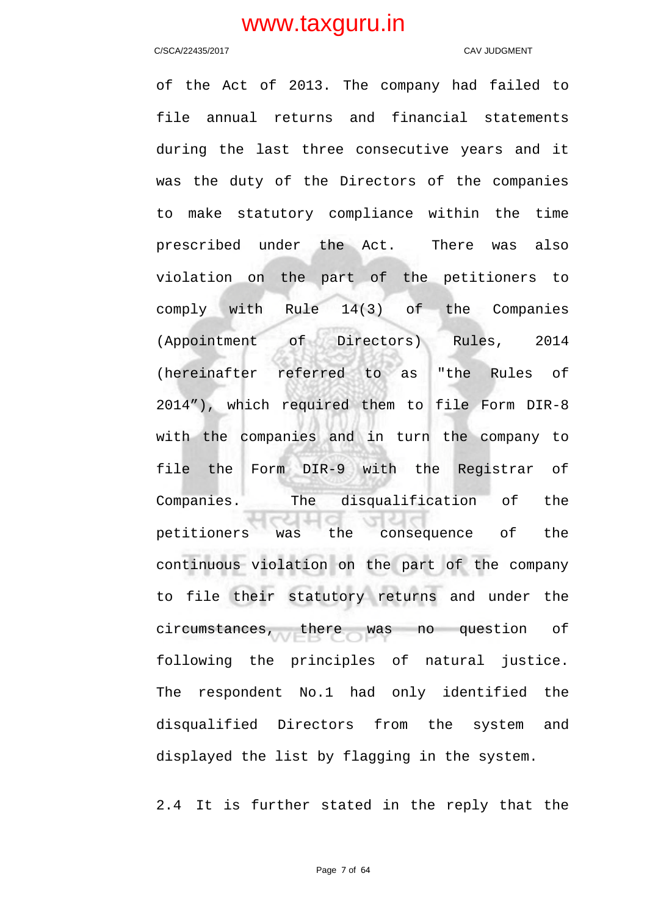### C/SCA/22435/2017 CAV JUDGMENT

of the Act of 2013. The company had failed to file annual returns and financial statements during the last three consecutive years and it was the duty of the Directors of the companies to make statutory compliance within the time prescribed under the Act. There was also violation on the part of the petitioners to comply with Rule 14(3) of the Companies (Appointment of Directors) Rules, 2014 (hereinafter referred to as "the Rules of 2014"), which required them to file Form DIR-8 with the companies and in turn the company to file the Form DIR-9 with the Registrar of Companies. The disqualification of the petitioners was the consequence of the continuous violation on the part of the company to file their statutory returns and under the circumstances, there was no question of following the principles of natural justice. The respondent No.1 had only identified the disqualified Directors from the system and displayed the list by flagging in the system.

2.4 It is further stated in the reply that the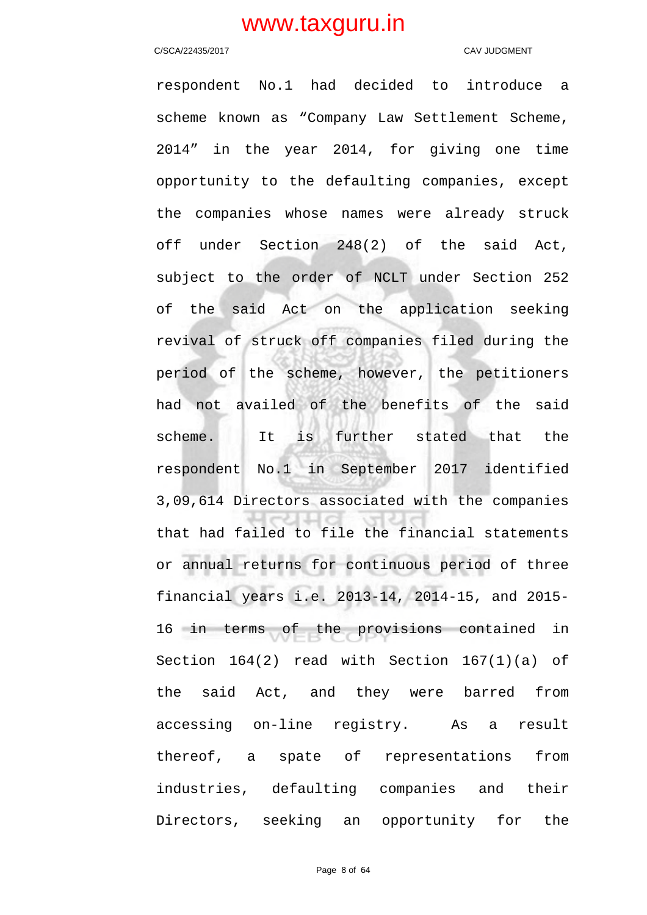### C/SCA/22435/2017 CAV JUDGMENT

respondent No.1 had decided to introduce a scheme known as "Company Law Settlement Scheme, 2014" in the year 2014, for giving one time opportunity to the defaulting companies, except the companies whose names were already struck off under Section 248(2) of the said Act, subject to the order of NCLT under Section 252 of the said Act on the application seeking revival of struck off companies filed during the period of the scheme, however, the petitioners had not availed of the benefits of the said scheme. It is further stated that the respondent No.1 in September 2017 identified 3,09,614 Directors associated with the companies that had failed to file the financial statements or annual returns for continuous period of three financial years i.e. 2013-14, 2014-15, and 2015- 16 in terms of the provisions contained in Section 164(2) read with Section 167(1)(a) of the said Act, and they were barred from accessing on-line registry. As a result thereof, a spate of representations from industries, defaulting companies and their Directors, seeking an opportunity for the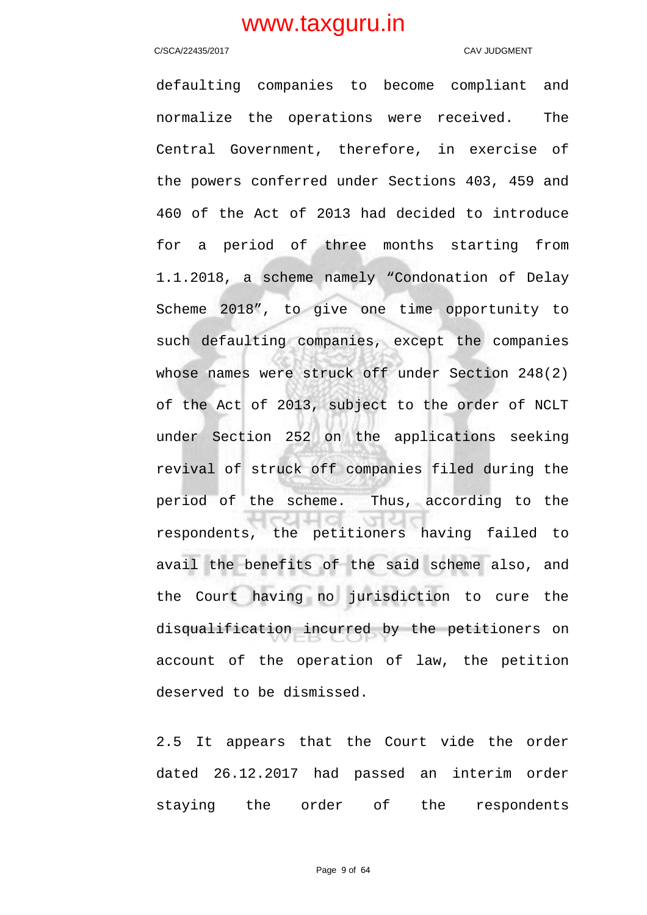### C/SCA/22435/2017 CAV JUDGMENT

defaulting companies to become compliant and normalize the operations were received. The Central Government, therefore, in exercise of the powers conferred under Sections 403, 459 and 460 of the Act of 2013 had decided to introduce for a period of three months starting from 1.1.2018, a scheme namely "Condonation of Delay Scheme 2018", to give one time opportunity to such defaulting companies, except the companies whose names were struck off under Section 248(2) of the Act of 2013, subject to the order of NCLT under Section 252 on the applications seeking revival of struck off companies filed during the period of the scheme. Thus, according to the respondents, the petitioners having failed to avail the benefits of the said scheme also, and the Court having no jurisdiction to cure the disqualification incurred by the petitioners on account of the operation of law, the petition deserved to be dismissed.

2.5 It appears that the Court vide the order dated 26.12.2017 had passed an interim order staying the order of the respondents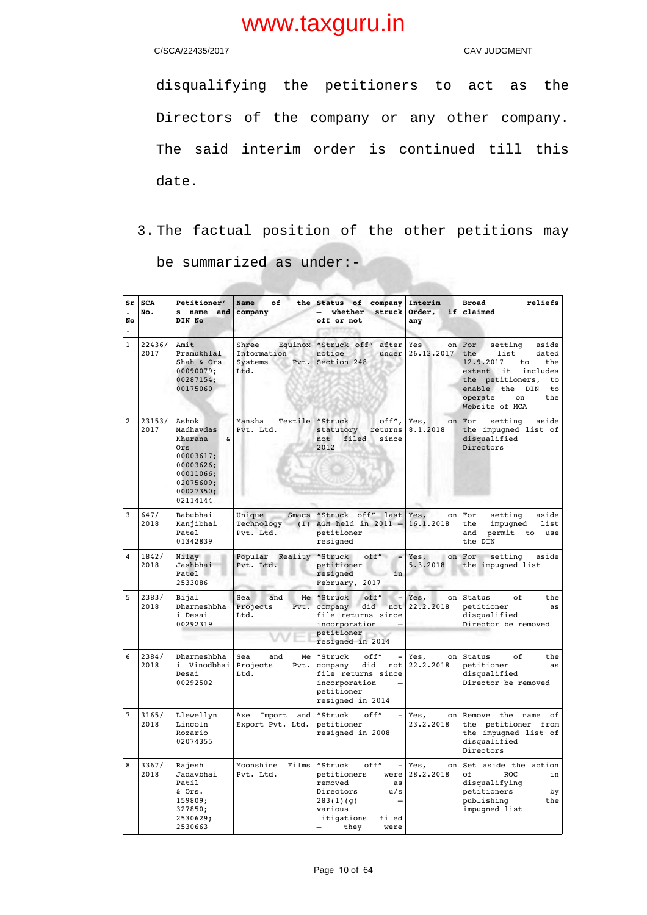C/SCA/22435/2017 C/SCA/22435/2017

disqualifying the petitioners to act as the Directors of the company or any other company. The said interim order is continued till this date.

3. The factual position of the other petitions may be summarized as under:-

| Sr<br>$\ddot{\phantom{a}}$<br>No<br>$\ddot{\phantom{a}}$ | <b>SCA</b><br>No. | Petitioner'<br>s name and<br>DIN No                                                                                    | of<br>the<br>Name<br>company                               | company<br>Status of<br>struck<br>whether<br>off or not<br>33 B 872                                                                         | Interim<br>Order,<br>if<br>any       | <b>Broad</b><br>reliefs<br>claimed                                                                                                                                                             |
|----------------------------------------------------------|-------------------|------------------------------------------------------------------------------------------------------------------------|------------------------------------------------------------|---------------------------------------------------------------------------------------------------------------------------------------------|--------------------------------------|------------------------------------------------------------------------------------------------------------------------------------------------------------------------------------------------|
| $\mathbf{1}$                                             | 22436/<br>2017    | Amit<br>Pramukhlal<br>Shah & Ors<br>00090079;<br>00287154;<br>00175060                                                 | Shree<br>Equinox<br>Information<br>Pvt.<br>Systems<br>Ltd. | "Struck off"<br>after<br>notice<br>under<br>Section 248                                                                                     | Yes<br>on <sub>l</sub><br>26.12.2017 | For<br>setting<br>aside<br>the<br>list<br>dated<br>12.9.2017<br>to<br>the<br>extent it<br>includes<br>the petitioners,<br>to<br>enable the DIN<br>to<br>operate<br>on<br>the<br>Website of MCA |
| $\overline{c}$                                           | 23153/<br>2017    | Ashok<br>Madhavdas<br>Khurana<br>&<br>Ors<br>00003617;<br>00003626;<br>00011066;<br>02075609;<br>00027350;<br>02114144 | Textile<br>Mansha<br>Pvt. Ltd.                             | off",<br>"Struck<br>statutory<br>returns<br>filed<br>not<br>since<br>2012                                                                   | Yes,<br>on <sub>l</sub><br>8.1.2018  | For<br>setting<br>aside<br>the impugned list of<br>disqualified<br>Directors                                                                                                                   |
| 3                                                        | 647/<br>2018      | Babubhai<br>Kanjibhai<br>Patel<br>01342839                                                                             | Unique<br>Smacs<br>Technology (I)<br>Pvt. Ltd.             | "Struck off"<br>last<br>AGM held in $2011 -$<br>petitioner<br>resigned                                                                      | Yes,<br>on  <br>16.1.2018            | aside<br>For<br>setting<br>impugned<br>list<br>the<br>permit<br>and<br>to<br>use<br>the DIN                                                                                                    |
| 4                                                        | 1842/<br>2018     | Nilay<br>Jashbhai<br>Patel<br>2533086                                                                                  | Popular<br>Reality<br>Pvt. Ltd.                            | "Struck<br>off''<br>petitioner<br>resigned<br>in<br>February, 2017                                                                          | Yes, on For<br>5.3.2018              | aside<br>setting<br>the impugned list                                                                                                                                                          |
| 5                                                        | 2383/<br>2018     | Bijal<br>Dharmeshbha<br>i Desai<br>00292319                                                                            | Sea<br>and<br>Me<br>Projects<br>Pvt.<br>Ltd.               | "Struck<br>off"<br>$\overline{\phantom{0}}$<br>company did<br>not<br>file returns since<br>incorporation<br>petitioner<br>resigned in 2014  | Yes,<br>22.2.2018                    | of<br>on Status<br>the<br>petitioner<br>as<br>disqualified<br>Director be removed                                                                                                              |
| 6                                                        | 2384/<br>2018     | Dharmeshbha<br>i Vinodbhai<br>Desai<br>00292502                                                                        | Sea<br>and<br>Me<br>Projects<br>Pvt.<br>Ltd.               | "Struck<br>off"<br>company<br>did<br>not<br>file returns since<br>incorporation<br>petitioner<br>resigned in 2014                           | Yes,<br>22.2.2018                    | on Status<br>оf<br>the<br>petitioner<br>as<br>disqualified<br>Director be removed                                                                                                              |
| $\overline{7}$                                           | 3165/<br>2018     | Llewellyn<br>Lincoln<br>Rozario<br>02074355                                                                            | Import<br>Axe<br>and<br>Export Pvt. Ltd.                   | off"<br>"Struck<br>petitioner<br>resigned in 2008                                                                                           | Yes,<br>on<br>23.2.2018              | Remove the name<br>оf<br>the petitioner from<br>the impugned list of<br>disqualified<br>Directors                                                                                              |
| 8                                                        | 3367/<br>2018     | Rajesh<br>Jadavbhai<br>Patil<br>& Ors.<br>159809;<br>327850;<br>2530629;<br>2530663                                    | Moonshine<br>Films<br>Pvt. Ltd.                            | "Struck<br>off"<br>petitioners<br>were<br>removed<br>as<br>Directors<br>u/s<br>283(1)(g)<br>various<br>filed<br>litigations<br>they<br>were | Yes,<br>on<br>28.2.2018              | Set aside the action<br>оf<br><b>ROC</b><br>in<br>disqualifying<br>petitioners<br>by<br>publishing<br>the<br>impugned list                                                                     |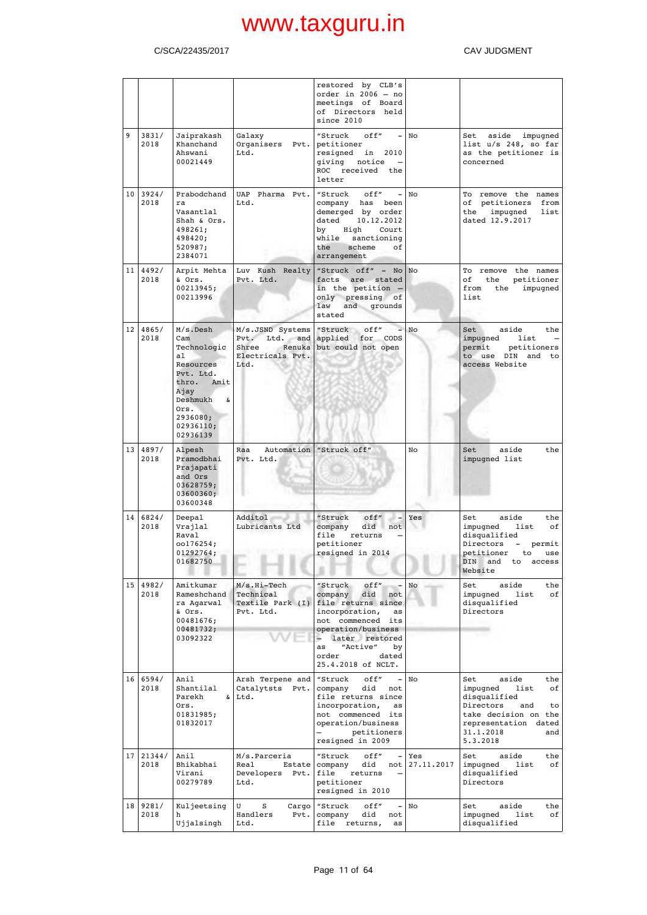## C/SCA/22435/2017 C/SCA/22435/2017

|                 |                    |                                                                                                                                                       |                                                             | restored by CLB's<br>order in $2006 - no$<br>meetings of Board<br>of Directors held<br>since 2010                                                                                                                   |                   |                                                                                                                                                                                |
|-----------------|--------------------|-------------------------------------------------------------------------------------------------------------------------------------------------------|-------------------------------------------------------------|---------------------------------------------------------------------------------------------------------------------------------------------------------------------------------------------------------------------|-------------------|--------------------------------------------------------------------------------------------------------------------------------------------------------------------------------|
| 9               | 3831/<br>2018      | Jaiprakash<br>Khanchand<br>Ahswani<br>00021449                                                                                                        | Galaxy<br>Organisers<br>Pvt.<br>Ltd.                        | "Struck<br>off"<br>petitioner<br>resigned in<br>2010<br>giving notice<br>ROC received the<br>letter                                                                                                                 | $-$ No            | aside impugned<br>Set<br>list u/s 248, so far<br>as the petitioner is<br>concerned                                                                                             |
|                 | 10   3924/<br>2018 | Prabodchand<br>ra<br>Vasantlal<br>Shah & Ors.<br>498261;<br>498420;<br>520987;<br>2384071                                                             | UAP Pharma Pvt.<br>Ltd.                                     | "Struck<br>off"<br>$\sim$<br>company has been<br>demerged by order<br>10.12.2012<br>dated<br>by<br>High<br>Court<br>while<br>sanctioning<br>the<br>scheme<br>оf<br>arrangement                                      | No                | To remove the names<br>of petitioners from<br>the<br>impugned<br>list<br>dated 12.9.2017                                                                                       |
|                 | 11   4492/<br>2018 | Arpit Mehta<br>& Ors.<br>00213945;<br>00213996                                                                                                        | Luv Kush Realty<br>Pvt. Ltd.                                | "Struck off" - $No No$<br>facts<br>are stated<br>in the petition -<br>only pressing of<br>law<br>and grounds<br>stated                                                                                              |                   | To remove the names<br>оf<br>the<br>petitioner<br>from<br>the<br>impugned<br>list                                                                                              |
| 12 <sub>1</sub> | 4865/<br>2018      | $M/s.$ Desh<br>Cam<br>Technologic<br>al<br>Resources<br>Pvt. Ltd.<br>thro. Amit<br>Ajay<br>Deshmukh<br>&<br>Ors.<br>2936080;<br>02936110;<br>02936139 | M/s.JSND Systems<br>Shree<br>Electricals Pvt.<br>Ltd.       | "Struck<br>off"<br>Pvt. Ltd. and applied for CODS<br>Renuka but could not open                                                                                                                                      | No                | aside<br>Set<br>the<br>impugned<br>list<br>permit<br>petitioners<br>to use DIN and to<br>access Website                                                                        |
|                 | 13   4897/<br>2018 | Alpesh<br>Pramodbhai<br>Prajapati<br>and Ors<br>03628759;<br>03600360;<br>03600348                                                                    | Raa<br>Pvt. Ltd.                                            | Automation   "Struck off"                                                                                                                                                                                           | No                | aside<br>the<br>Set<br>impugned list                                                                                                                                           |
| 14              | 6824/<br>2018      | Deepal<br>Vrajlal<br>Raval<br>oo176254;<br>01292764;<br>01682750                                                                                      | Additol<br>Lubricants Ltd                                   | "Struck<br>off"<br>$-$<br>company<br>did not<br>file<br>returns<br>petitioner<br>resigned in 2014                                                                                                                   | Yes               | aside<br>Set<br>the<br>impugned<br>list<br>оf<br>disqualified<br>Directors<br>$\overline{\phantom{a}}$<br>permit<br>petitioner<br>use<br>to<br>DIN and to<br>access<br>Website |
| 15              | 4982/<br>2018      | Amitkumar<br>Rameshchand<br>ra Agarwal<br>& Ors.<br>00481676;<br>00481732;<br>03092322                                                                | $M/s.Hi-Tech$<br>Technical<br>Textile Park (I)<br>Pvt. Ltd. | "Struck<br>off"<br>company<br>did<br>not<br>file returns since<br>incorporation,<br>as<br>not commenced its<br>operation/business<br>later restored<br>"Active"<br>by<br>as<br>order<br>dated<br>25.4.2018 of NCLT. | No                | aside<br>the<br>Set<br>impugned<br>list<br>оf<br>disqualified<br>Directors                                                                                                     |
|                 | 16   6594/<br>2018 | Anil<br>Shantilal<br>Parekh<br>&<br>Ors.<br>01831985;<br>01832017                                                                                     | Arsh Terpene and<br>Catalytsts<br>Pvt.<br>Ltd.              | "Struck<br>off"<br>$\overline{\phantom{0}}$<br>did<br>company<br>not<br>file returns since<br>incorporation,<br>as<br>not commenced its<br>operation/business<br>petitioners<br>resigned in 2009                    | No                | aside<br>the<br>Set<br>impugned<br>list<br>of<br>disqualified<br>Directors<br>and<br>to<br>take decision on the<br>representation dated<br>31.1.2018<br>and<br>5.3.2018        |
|                 | 17 21344/<br>2018  | Anil<br>Bhikabhai<br>Virani<br>00279789                                                                                                               | M/s.Parceria<br>Real<br>Estate<br>Developers Pvt.<br>Ltd.   | "Struck<br>off"<br>company<br>did<br>not<br>file<br>returns<br>petitioner<br>resigned in 2010                                                                                                                       | Yes<br>27.11.2017 | aside<br>the<br>Set<br>impugned<br>list<br>of<br>disqualified<br>Directors                                                                                                     |
|                 | 18 9281/<br>2018   | Kuljeetsing<br>h<br>Ujjalsingh                                                                                                                        | U<br>S<br>Cargo<br>Handlers<br>Pvt.<br>Ltd.                 | "Struck<br>off"<br>did<br>company<br>not<br>file<br>returns,<br>as                                                                                                                                                  | No                | aside<br>the<br>Set<br>impugned<br>list<br>of<br>disqualified                                                                                                                  |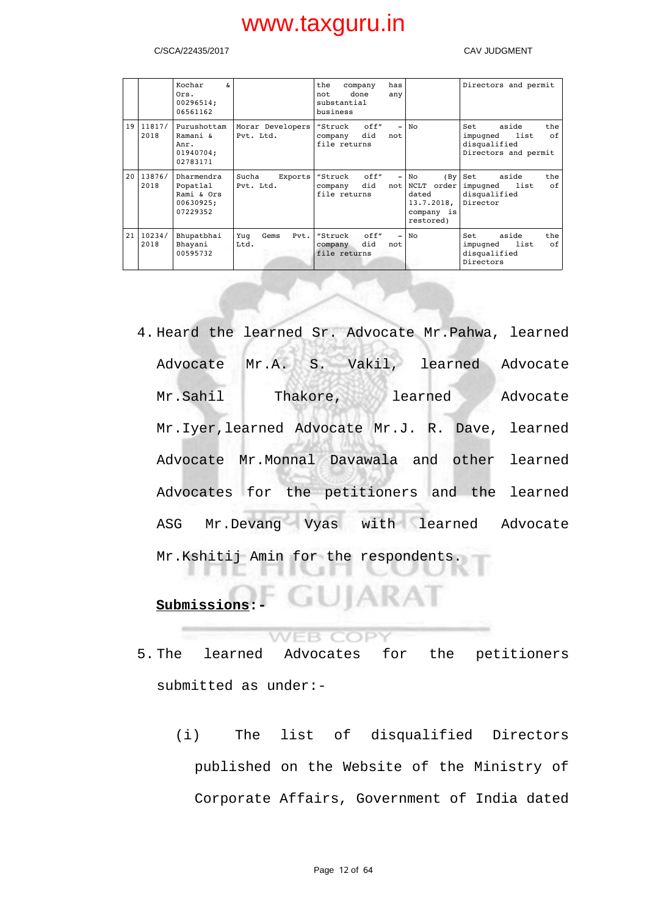### C/SCA/22435/2017 CAV JUDGMENT

|    |                     | Kochar<br>s.<br>Ors.<br>00296514;<br>06561162                 |                               | the<br>company<br>done<br>not<br>substantial<br>business | has<br>any                      |                                                                            | Directors and permit                                                                  |
|----|---------------------|---------------------------------------------------------------|-------------------------------|----------------------------------------------------------|---------------------------------|----------------------------------------------------------------------------|---------------------------------------------------------------------------------------|
|    | 19   11817/<br>2018 | Purushottam<br>Ramani &<br>Anr.<br>01940704;<br>02783171      | Morar Developers<br>Pvt. Ltd. | off"<br>"Struck<br>did<br>company<br>file returns        | ۳<br>not                        | No                                                                         | aside<br>the<br>Set<br>оf<br>list<br>impugned<br>disqualified<br>Directors and permit |
| 20 | 13876/<br>2018      | Dharmendra<br>Popatlal<br>Rami & Ors<br>00630925;<br>07229352 | Sucha<br>Exports<br>Pvt. Ltd. | off"<br>"Struck<br>did<br>company<br>file returns        | $\overline{\phantom{0}}$<br>not | No<br>(By)<br>NCLT order<br>dated<br>13.7.2018,<br>company is<br>restored) | aside<br>the<br>Set<br>оf<br>impugned<br>list<br>disqualified<br>Director             |
| 21 | 10234/<br>2018      | Bhupatbhai<br>Bhayani<br>00595732                             | Pvt.<br>Gems<br>Yuq<br>Ltd.   | off"<br>"Struck<br>did<br>company<br>file returns        | $\overline{\phantom{0}}$<br>not | No                                                                         | aside<br>the<br>Set.<br>оf<br>list<br>impugned<br>disqualified<br>Directors           |

4. Heard the learned Sr. Advocate Mr.Pahwa, learned Advocate Mr.A. S. Vakil, learned Advocate Mr.Sahil Thakore, learned Advocate Mr.Iyer,learned Advocate Mr.J. R. Dave, learned Advocate Mr.Monnal Davawala and other learned Advocates for the petitioners and the learned ASG Mr.Devang Vyas with learned Advocate Mr.Kshitij Amin for the respondents.

## **Submissions:-**

### WEB COPY

5. The learned Advocates for the petitioners submitted as under:-

· GUIARAI

(i) The list of disqualified Directors published on the Website of the Ministry of Corporate Affairs, Government of India dated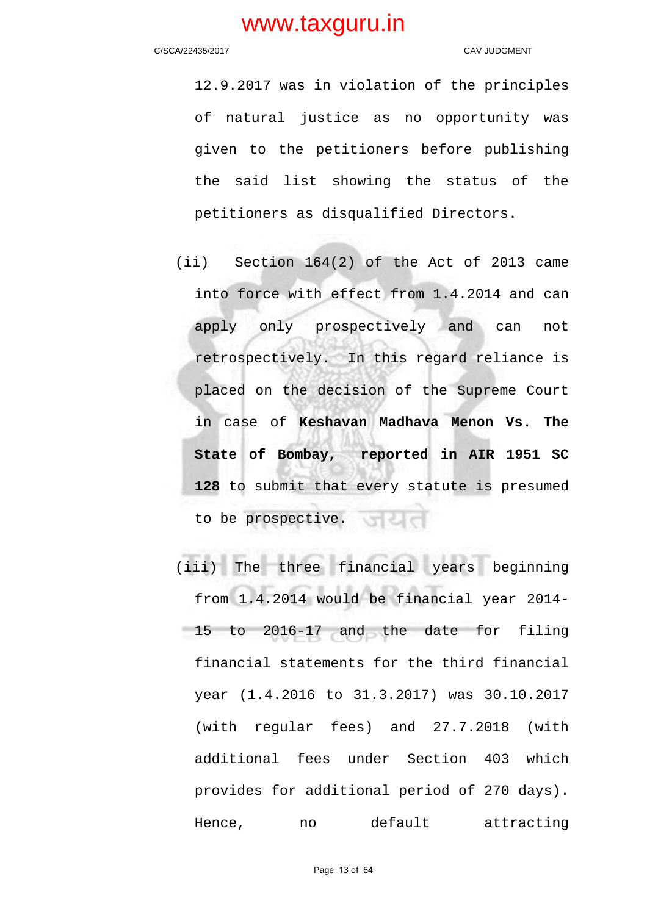12.9.2017 was in violation of the principles of natural justice as no opportunity was given to the petitioners before publishing the said list showing the status of the petitioners as disqualified Directors.

- (ii) Section 164(2) of the Act of 2013 came into force with effect from 1.4.2014 and can apply only prospectively and can not retrospectively. In this regard reliance is placed on the decision of the Supreme Court in case of **Keshavan Madhava Menon Vs. The State of Bombay, reported in AIR 1951 SC 128** to submit that every statute is presumed to be prospective.
- (iii) The three financial years beginning from 1.4.2014 would be financial year 2014- 15 to 2016-17 and the date for filing financial statements for the third financial year (1.4.2016 to 31.3.2017) was 30.10.2017 (with regular fees) and 27.7.2018 (with additional fees under Section 403 which provides for additional period of 270 days). Hence, no default attracting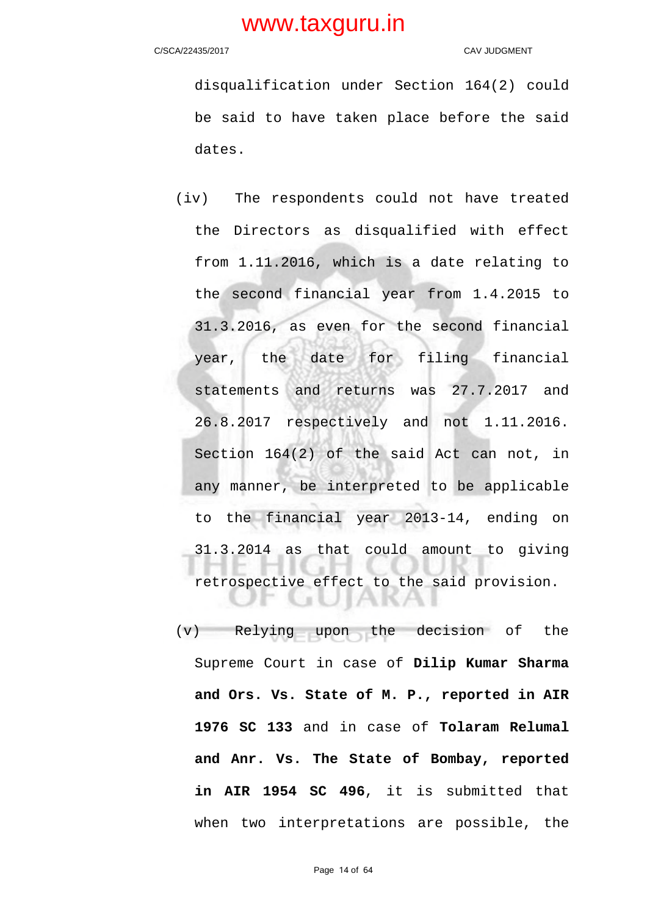### C/SCA/22435/2017 CAV JUDGMENT

disqualification under Section 164(2) could be said to have taken place before the said dates.

(iv) The respondents could not have treated the Directors as disqualified with effect from 1.11.2016, which is a date relating to the second financial year from 1.4.2015 to 31.3.2016, as even for the second financial year, the date for filing financial statements and returns was 27.7.2017 and 26.8.2017 respectively and not 1.11.2016. Section 164(2) of the said Act can not, in any manner, be interpreted to be applicable to the financial year 2013-14, ending on 31.3.2014 as that could amount to giving retrospective effect to the said provision. JIAKA . . . .

(v) Relying upon the decision of the Supreme Court in case of **Dilip Kumar Sharma and Ors. Vs. State of M. P., reported in AIR 1976 SC 133** and in case of **Tolaram Relumal and Anr. Vs. The State of Bombay, reported in AIR 1954 SC 496**, it is submitted that when two interpretations are possible, the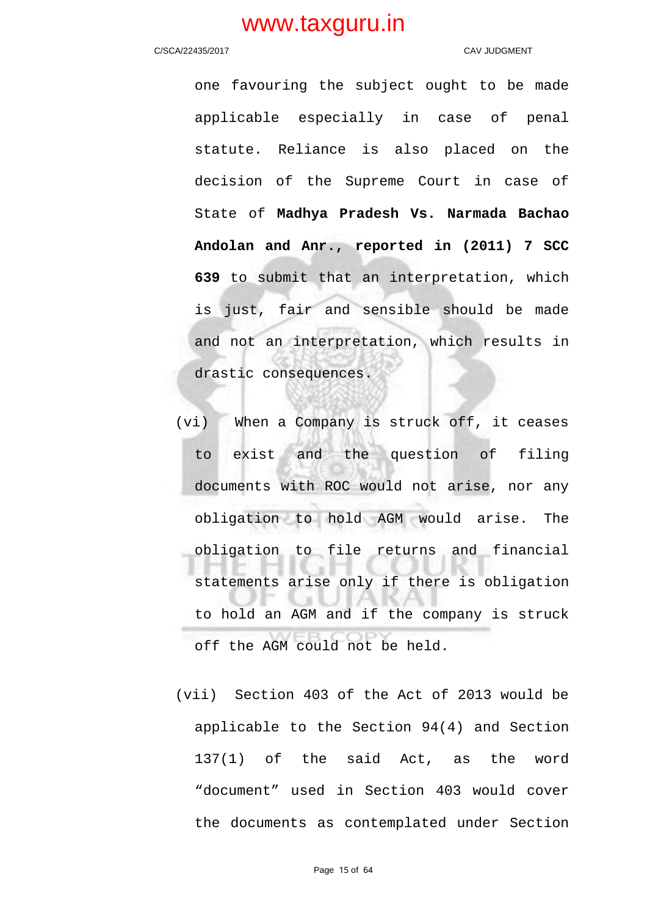### C/SCA/22435/2017 CAV JUDGMENT

one favouring the subject ought to be made applicable especially in case of penal statute. Reliance is also placed on the decision of the Supreme Court in case of State of **Madhya Pradesh Vs. Narmada Bachao Andolan and Anr., reported in (2011) 7 SCC 639** to submit that an interpretation, which is just, fair and sensible should be made and not an interpretation, which results in drastic consequences.

- (vi) When a Company is struck off, it ceases to exist and the question of filing documents with ROC would not arise, nor any obligation to hold AGM would arise. The obligation to file returns and financial statements arise only if there is obligation to hold an AGM and if the company is struck off the AGM could not be held.
- (vii) Section 403 of the Act of 2013 would be applicable to the Section 94(4) and Section 137(1) of the said Act, as the word "document" used in Section 403 would cover the documents as contemplated under Section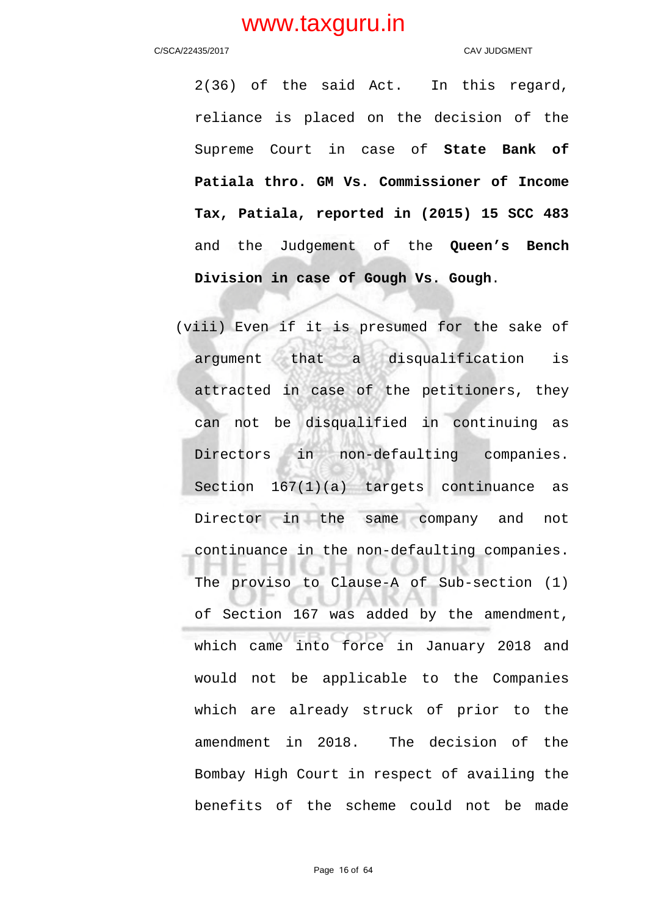### C/SCA/22435/2017 CAV JUDGMENT

2(36) of the said Act. In this regard, reliance is placed on the decision of the Supreme Court in case of **State Bank of Patiala thro. GM Vs. Commissioner of Income Tax, Patiala, reported in (2015) 15 SCC 483** and the Judgement of the **Queen's Bench Division in case of Gough Vs. Gough**.

(viii) Even if it is presumed for the sake of argument that a disqualification is attracted in case of the petitioners, they can not be disqualified in continuing as Directors in non-defaulting companies. Section 167(1)(a) targets continuance as Director in the same company and not continuance in the non-defaulting companies. The proviso to Clause-A of Sub-section (1) of Section 167 was added by the amendment, which came into force in January 2018 and would not be applicable to the Companies which are already struck of prior to the amendment in 2018. The decision of the Bombay High Court in respect of availing the benefits of the scheme could not be made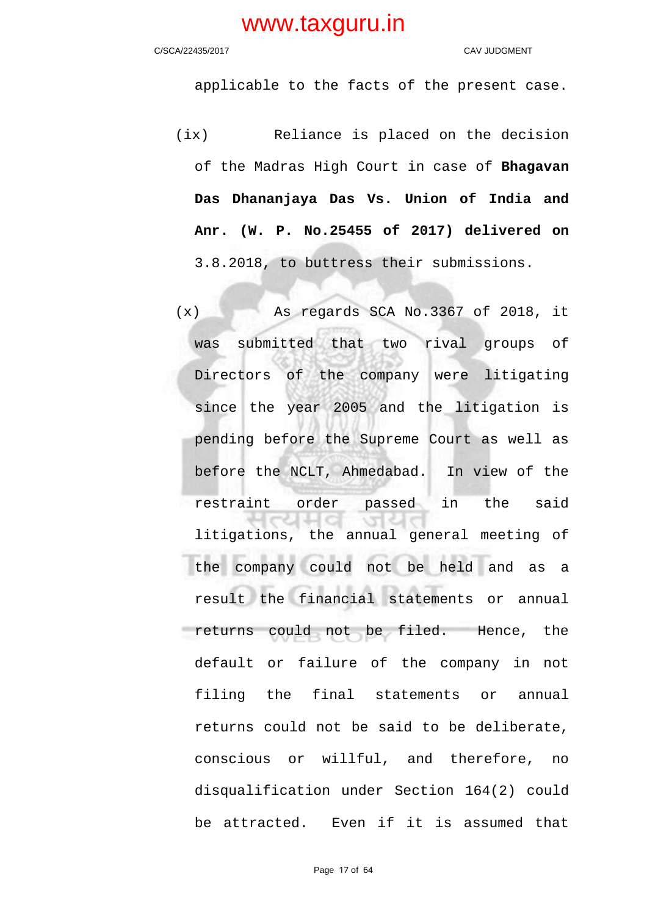### C/SCA/22435/2017 CAV JUDGMENT

applicable to the facts of the present case.

- (ix) Reliance is placed on the decision of the Madras High Court in case of **Bhagavan Das Dhananjaya Das Vs. Union of India and Anr. (W. P. No.25455 of 2017) delivered on** 3.8.2018, to buttress their submissions.
- (x) As regards SCA No.3367 of 2018, it was submitted that two rival groups of Directors of the company were litigating since the year 2005 and the litigation is pending before the Supreme Court as well as before the NCLT, Ahmedabad. In view of the restraint order passed in the said litigations, the annual general meeting of the company could not be held and as a result the financial statements or annual returns could not be filed. Hence, the default or failure of the company in not filing the final statements or annual returns could not be said to be deliberate, conscious or willful, and therefore, no disqualification under Section 164(2) could be attracted. Even if it is assumed that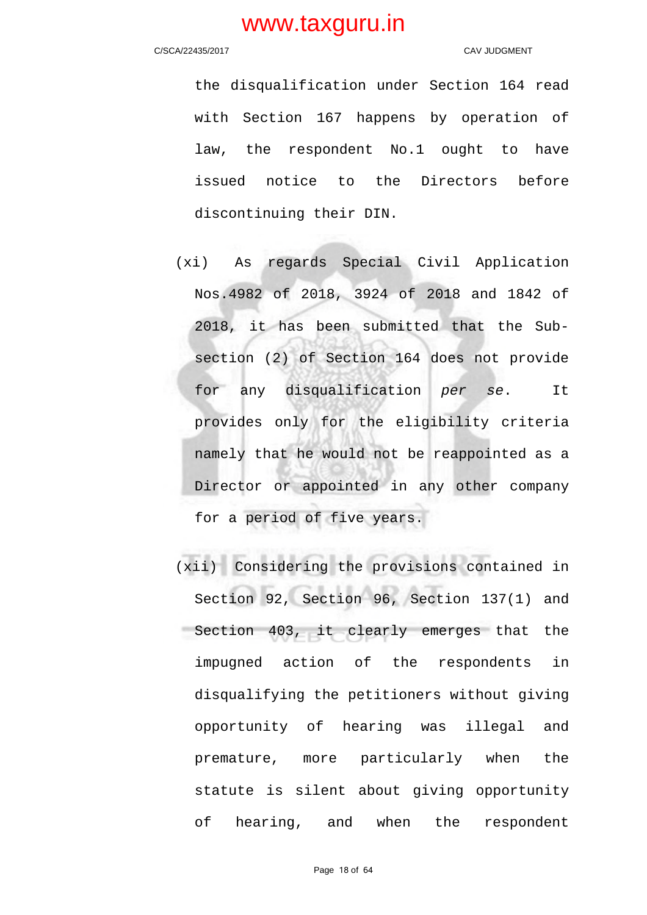### C/SCA/22435/2017 CAV JUDGMENT

the disqualification under Section 164 read with Section 167 happens by operation of law, the respondent No.1 ought to have issued notice to the Directors before discontinuing their DIN.

- (xi) As regards Special Civil Application Nos.4982 of 2018, 3924 of 2018 and 1842 of 2018, it has been submitted that the Subsection (2) of Section 164 does not provide for any disqualification per se. It provides only for the eligibility criteria namely that he would not be reappointed as a Director or appointed in any other company for a period of five years.
- (xii) Considering the provisions contained in Section 92, Section 96, Section 137(1) and Section 403, it clearly emerges that the impugned action of the respondents in disqualifying the petitioners without giving opportunity of hearing was illegal and premature, more particularly when the statute is silent about giving opportunity of hearing, and when the respondent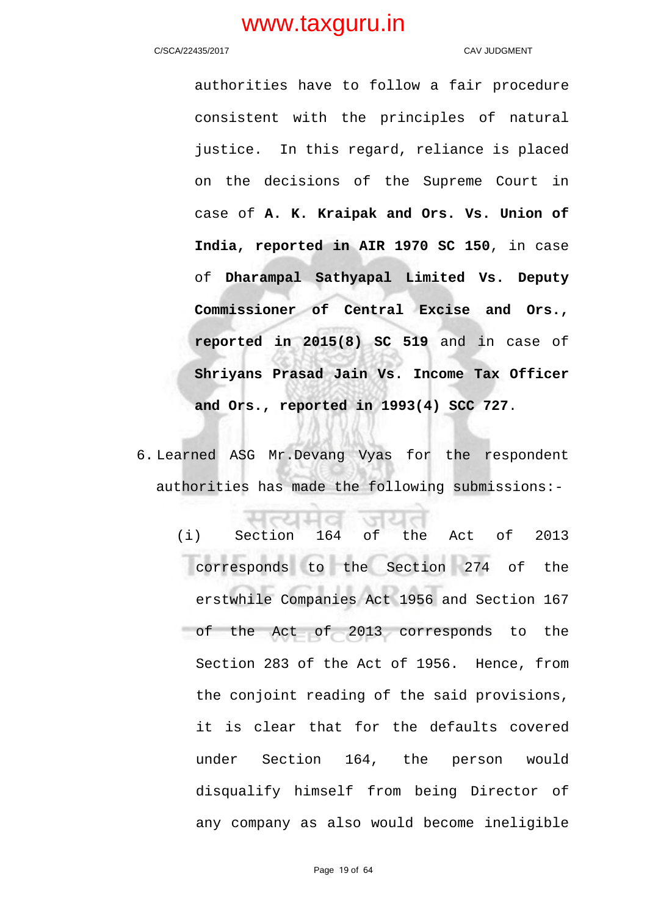### C/SCA/22435/2017 CAV JUDGMENT

authorities have to follow a fair procedure consistent with the principles of natural justice. In this regard, reliance is placed on the decisions of the Supreme Court in case of **A. K. Kraipak and Ors. Vs. Union of India, reported in AIR 1970 SC 150**, in case of **Dharampal Sathyapal Limited Vs. Deputy Commissioner of Central Excise and Ors., reported in 2015(8) SC 519** and in case of **Shriyans Prasad Jain Vs. Income Tax Officer and Ors., reported in 1993(4) SCC 727**.

6. Learned ASG Mr.Devang Vyas for the respondent authorities has made the following submissions:-

(i) Section 164 of the Act of 2013 corresponds to the Section 274 of the erstwhile Companies Act 1956 and Section 167 of the Act of 2013 corresponds to the Section 283 of the Act of 1956. Hence, from the conjoint reading of the said provisions, it is clear that for the defaults covered under Section 164, the person would disqualify himself from being Director of any company as also would become ineligible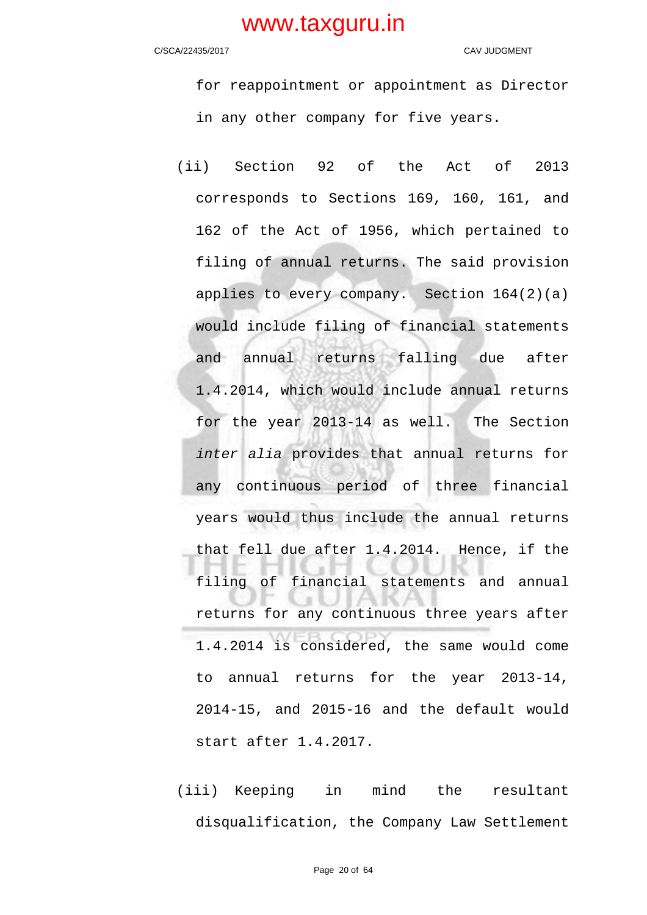C/SCA/22435/2017 CAV JUDGMENT

for reappointment or appointment as Director in any other company for five years.

- (ii) Section 92 of the Act of 2013 corresponds to Sections 169, 160, 161, and 162 of the Act of 1956, which pertained to filing of annual returns. The said provision applies to every company. Section 164(2)(a) would include filing of financial statements and annual returns falling due after 1.4.2014, which would include annual returns for the year 2013-14 as well. The Section inter alia provides that annual returns for any continuous period of three financial years would thus include the annual returns that fell due after 1.4.2014. Hence, if the filing of financial statements and annual returns for any continuous three years after 1.4.2014 is considered, the same would come to annual returns for the year 2013-14, 2014-15, and 2015-16 and the default would start after 1.4.2017.
- (iii) Keeping in mind the resultant disqualification, the Company Law Settlement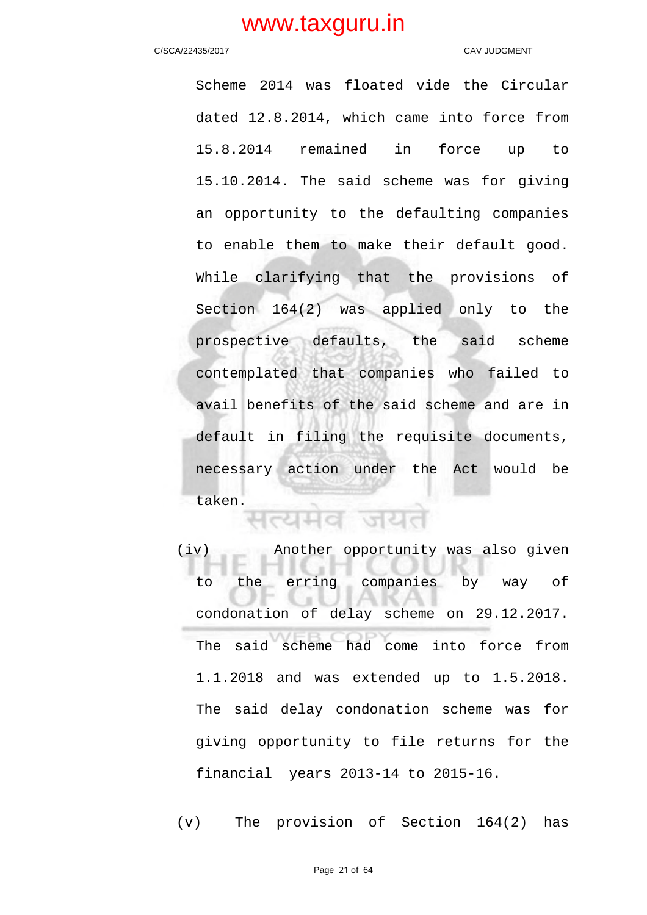### C/SCA/22435/2017 CAV JUDGMENT

Scheme 2014 was floated vide the Circular dated 12.8.2014, which came into force from 15.8.2014 remained in force up to 15.10.2014. The said scheme was for giving an opportunity to the defaulting companies to enable them to make their default good. While clarifying that the provisions of Section 164(2) was applied only to the prospective defaults, the said scheme contemplated that companies who failed to avail benefits of the said scheme and are in default in filing the requisite documents, necessary action under the Act would be taken.

(iv) Another opportunity was also given to the erring companies by way of condonation of delay scheme on 29.12.2017. The said scheme had come into force from 1.1.2018 and was extended up to 1.5.2018. The said delay condonation scheme was for giving opportunity to file returns for the financial years 2013-14 to 2015-16.

(v) The provision of Section 164(2) has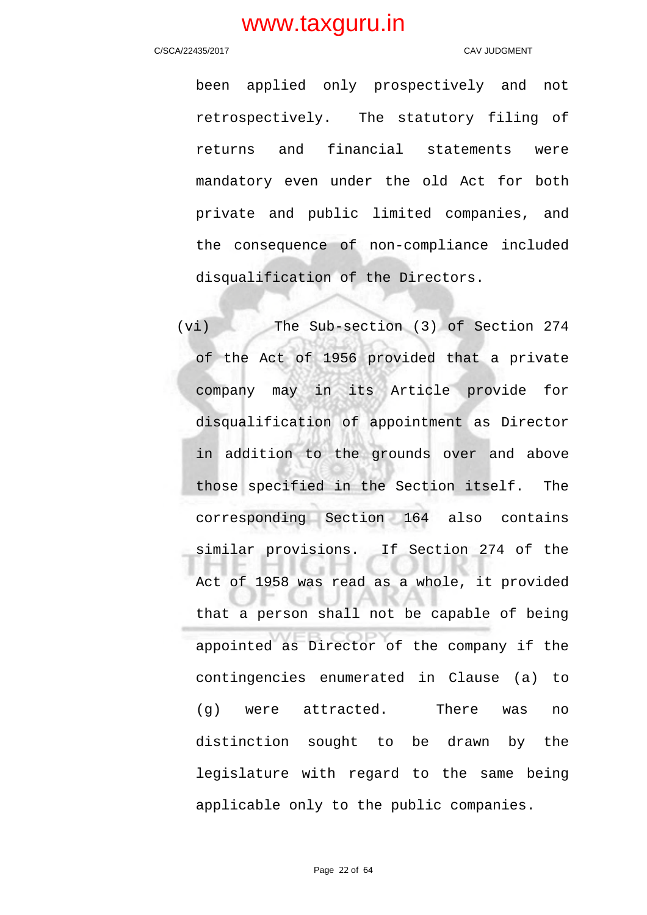### C/SCA/22435/2017 CAV JUDGMENT

been applied only prospectively and not retrospectively. The statutory filing of returns and financial statements were mandatory even under the old Act for both private and public limited companies, and the consequence of non-compliance included disqualification of the Directors.

(vi) The Sub-section (3) of Section 274 of the Act of 1956 provided that a private company may in its Article provide for disqualification of appointment as Director in addition to the grounds over and above those specified in the Section itself. The corresponding Section 164 also contains similar provisions. If Section 274 of the Act of 1958 was read as a whole, it provided that a person shall not be capable of being appointed as Director of the company if the contingencies enumerated in Clause (a) to (g) were attracted. There was no distinction sought to be drawn by the legislature with regard to the same being applicable only to the public companies.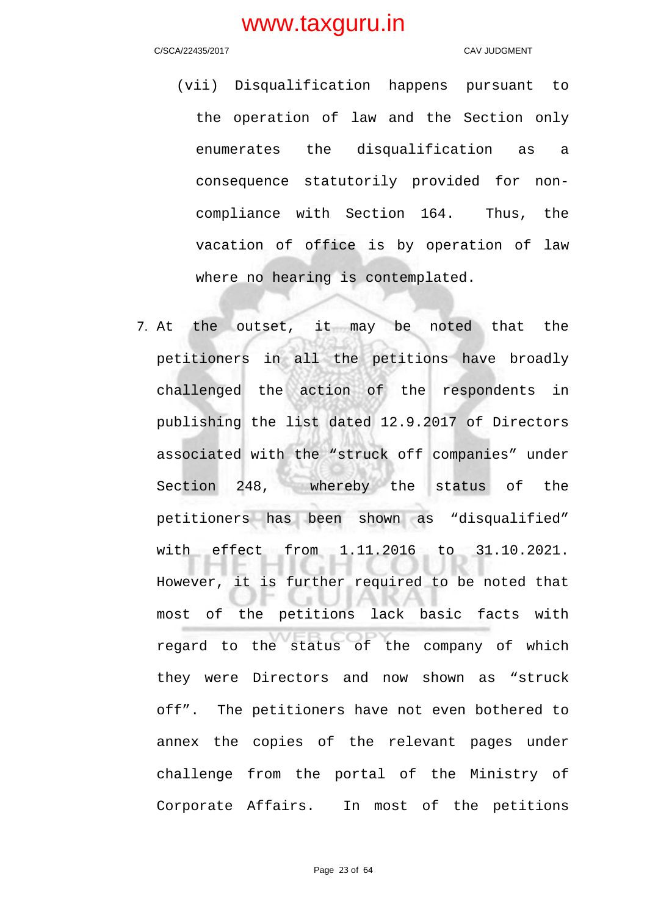### C/SCA/22435/2017 CAV JUDGMENT

- (vii) Disqualification happens pursuant to the operation of law and the Section only enumerates the disqualification as a consequence statutorily provided for noncompliance with Section 164. Thus, the vacation of office is by operation of law where no hearing is contemplated.
- 7. At the outset, it may be noted that the petitioners in all the petitions have broadly challenged the action of the respondents in publishing the list dated 12.9.2017 of Directors associated with the "struck off companies" under Section 248, whereby the status of the petitioners has been shown as "disqualified" with effect from 1.11.2016 to 31.10.2021. However, it is further required to be noted that most of the petitions lack basic facts with regard to the status of the company of which they were Directors and now shown as "struck off". The petitioners have not even bothered to annex the copies of the relevant pages under challenge from the portal of the Ministry of Corporate Affairs. In most of the petitions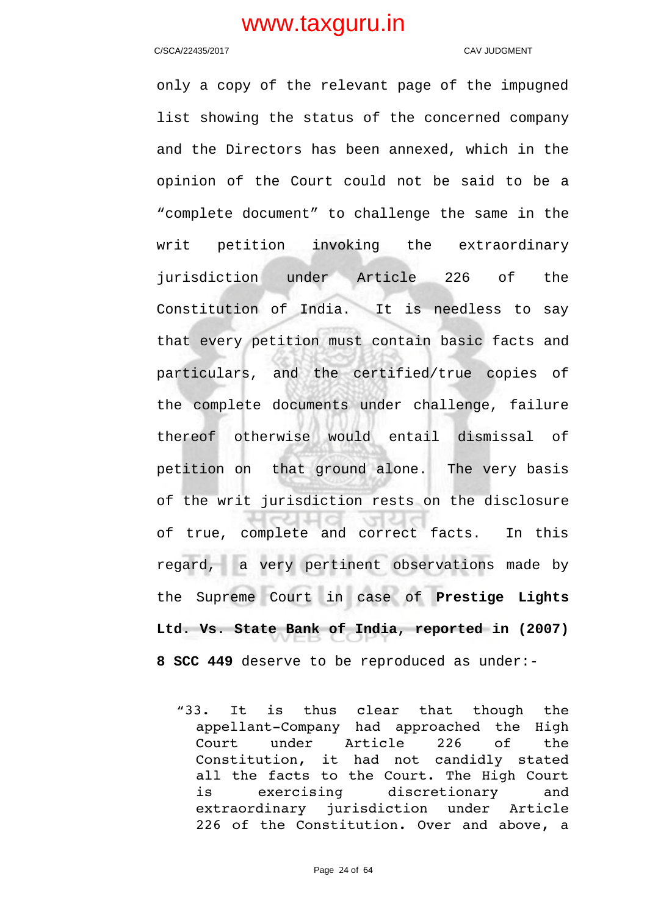### C/SCA/22435/2017 CAV JUDGMENT

only a copy of the relevant page of the impugned list showing the status of the concerned company and the Directors has been annexed, which in the opinion of the Court could not be said to be a "complete document" to challenge the same in the writ petition invoking the extraordinary jurisdiction under Article 226 of the Constitution of India. It is needless to say that every petition must contain basic facts and particulars, and the certified/true copies of the complete documents under challenge, failure thereof otherwise would entail dismissal of petition on that ground alone. The very basis of the writ jurisdiction rests on the disclosure of true, complete and correct facts. In this  $\sqrt{2}$ regard, a very pertinent observations made by the Supreme Court in case of **Prestige Lights Ltd. Vs. State Bank of India, reported in (2007) 8 SCC 449** deserve to be reproduced as under:-

"33. It is thus clear that though the appellant-Company had approached the High Court under Article 226 of the Constitution, it had not candidly stated all the facts to the Court. The High Court is exercising discretionary and extraordinary jurisdiction under Article 226 of the Constitution. Over and above, a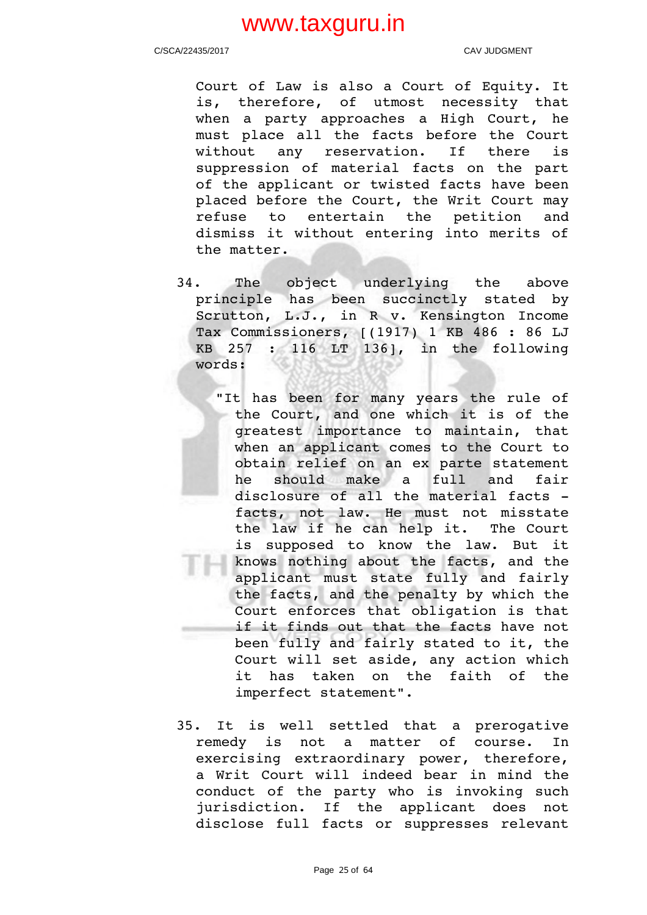C/SCA/22435/2017 CAV JUDGMENT

Court of Law is also a Court of Equity. It is, therefore, of utmost necessity that when a party approaches a High Court, he must place all the facts before the Court without any reservation. If there is suppression of material facts on the part of the applicant or twisted facts have been placed before the Court, the Writ Court may refuse to entertain the petition and dismiss it without entering into merits of the matter.

- 34. The object underlying the above principle has been succinctly stated by Scrutton, L.J., in R v. Kensington Income Tax Commissioners, [(1917) 1 KB 486 : 86 LJ KB 257 : 116 LT 136], in the following words:
	- "It has been for many years the rule of the Court, and one which it is of the greatest importance to maintain, that when an applicant comes to the Court to obtain relief on an ex parte statement he should make a full and fair disclosure of all the material facts facts, not law. He must not misstate the law if he can help it. The Court is supposed to know the law. But it knows nothing about the facts, and the applicant must state fully and fairly the facts, and the penalty by which the Court enforces that obligation is that if it finds out that the facts have not been fully and fairly stated to it, the Court will set aside, any action which it has taken on the faith of the imperfect statement".
- 35. It is well settled that a prerogative remedy is not a matter of course. In exercising extraordinary power, therefore, a Writ Court will indeed bear in mind the conduct of the party who is invoking such jurisdiction. If the applicant does not disclose full facts or suppresses relevant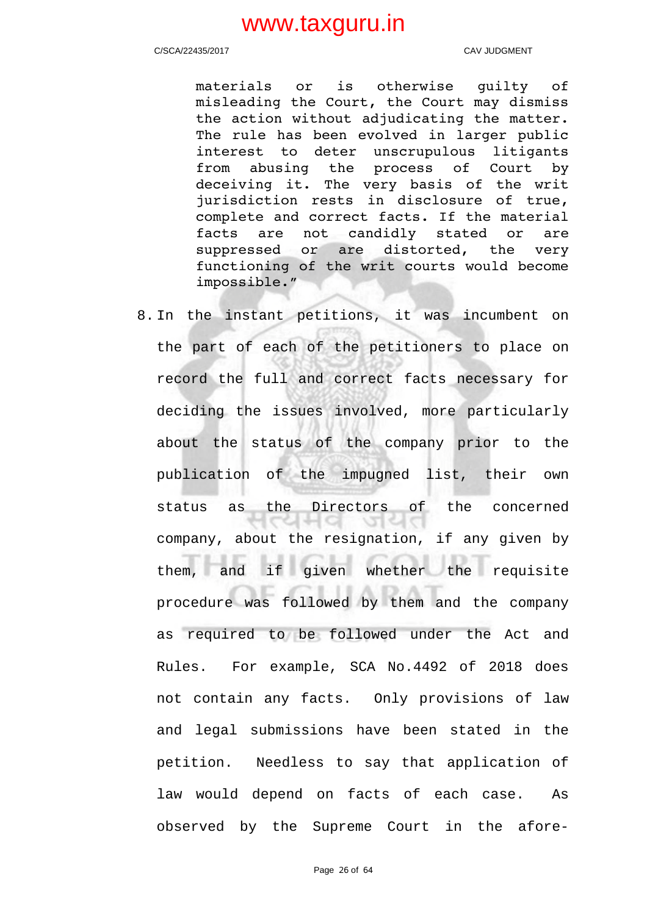C/SCA/22435/2017 CAV JUDGMENT

materials or is otherwise quilty of misleading the Court, the Court may dismiss the action without adjudicating the matter. The rule has been evolved in larger public interest to deter unscrupulous litigants from abusing the process of Court by deceiving it. The very basis of the writ jurisdiction rests in disclosure of true, complete and correct facts. If the material facts are not candidly stated or are suppressed or are distorted, the very functioning of the writ courts would become impossible."

8. In the instant petitions, it was incumbent on the part of each of the petitioners to place on record the full and correct facts necessary for deciding the issues involved, more particularly about the status of the company prior to the publication of the impugned list, their own status as the Directors of the concerned **CHHO** जयत company, about the resignation, if any given by them, and if given whether the requisite procedure was followed by them and the company as required to be followed under the Act and Rules. For example, SCA No.4492 of 2018 does not contain any facts. Only provisions of law and legal submissions have been stated in the petition. Needless to say that application of law would depend on facts of each case. As observed by the Supreme Court in the afore-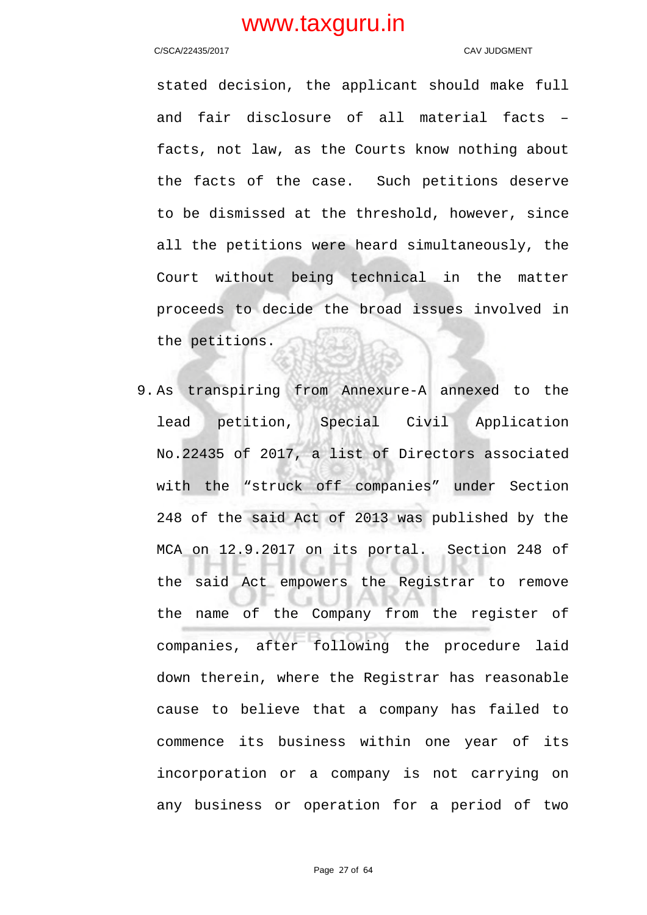### C/SCA/22435/2017 CAV JUDGMENT

stated decision, the applicant should make full and fair disclosure of all material facts – facts, not law, as the Courts know nothing about the facts of the case. Such petitions deserve to be dismissed at the threshold, however, since all the petitions were heard simultaneously, the Court without being technical in the matter proceeds to decide the broad issues involved in the petitions.

9. As transpiring from Annexure-A annexed to the lead petition, Special Civil Application No.22435 of 2017, a list of Directors associated with the "struck off companies" under Section 248 of the said Act of 2013 was published by the MCA on 12.9.2017 on its portal. Section 248 of the said Act empowers the Registrar to remove the name of the Company from the register of companies, after following the procedure laid down therein, where the Registrar has reasonable cause to believe that a company has failed to commence its business within one year of its incorporation or a company is not carrying on any business or operation for a period of two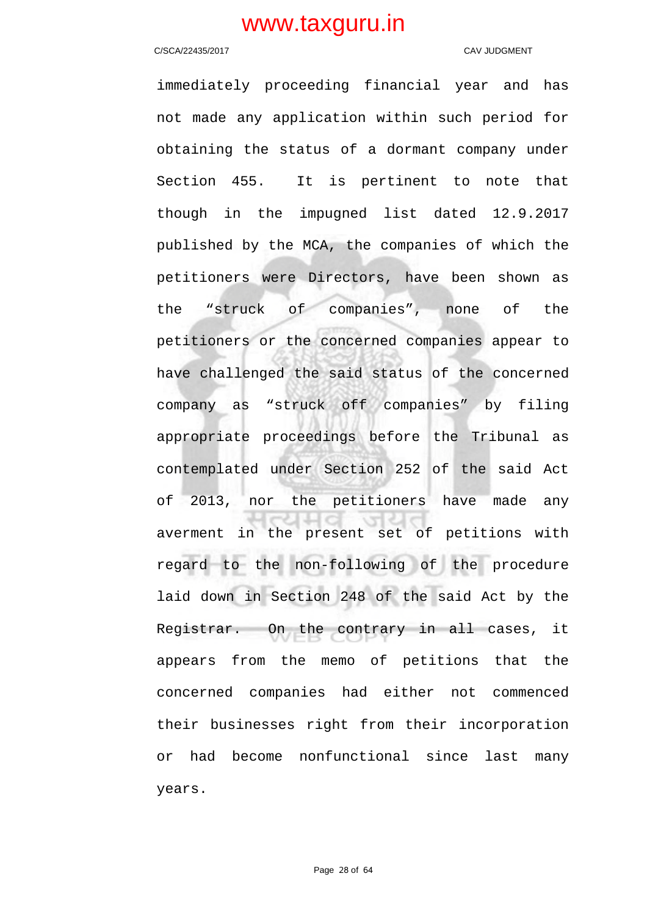### C/SCA/22435/2017 CAV JUDGMENT

immediately proceeding financial year and has not made any application within such period for obtaining the status of a dormant company under Section 455. It is pertinent to note that though in the impugned list dated 12.9.2017 published by the MCA, the companies of which the petitioners were Directors, have been shown as the "struck of companies", none of the petitioners or the concerned companies appear to have challenged the said status of the concerned company as "struck off companies" by filing appropriate proceedings before the Tribunal as contemplated under Section 252 of the said Act of 2013, nor the petitioners have made any averment in the present set of petitions with regard to the non-following of the procedure laid down in Section 248 of the said Act by the Registrar. On the contrary in all cases, it appears from the memo of petitions that the concerned companies had either not commenced their businesses right from their incorporation or had become nonfunctional since last many years.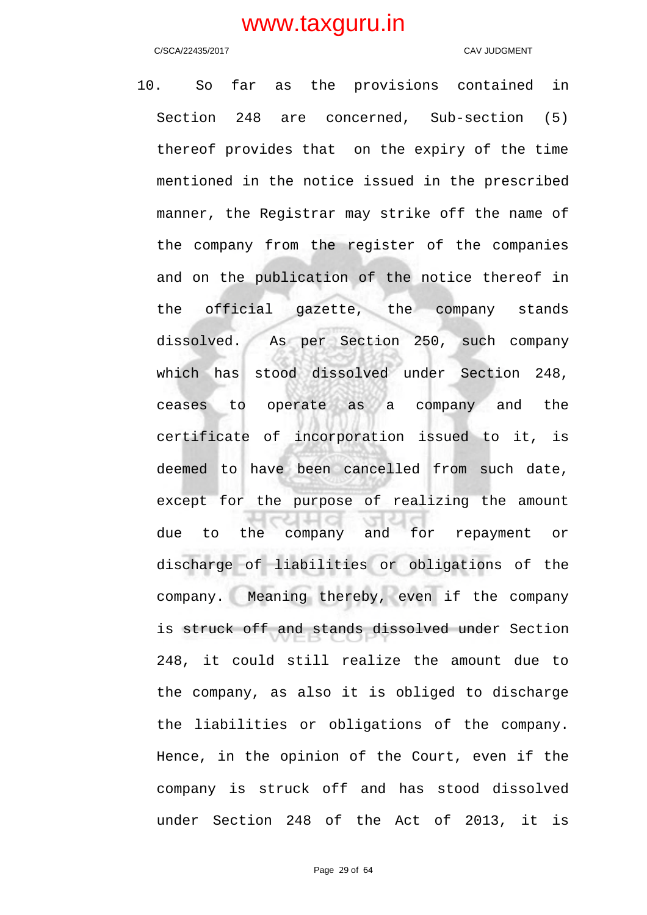C/SCA/22435/2017 CAV JUDGMENT

10. So far as the provisions contained in Section 248 are concerned, Sub-section (5) thereof provides that on the expiry of the time mentioned in the notice issued in the prescribed manner, the Registrar may strike off the name of the company from the register of the companies and on the publication of the notice thereof in the official gazette, the company stands dissolved. As per Section 250, such company which has stood dissolved under Section 248, ceases to operate as a company and the certificate of incorporation issued to it, is deemed to have been cancelled from such date, except for the purpose of realizing the amount due to the company and for repayment or discharge of liabilities or obligations of the company. Meaning thereby, even if the company is struck off and stands dissolved under Section 248, it could still realize the amount due to the company, as also it is obliged to discharge the liabilities or obligations of the company. Hence, in the opinion of the Court, even if the company is struck off and has stood dissolved under Section 248 of the Act of 2013, it is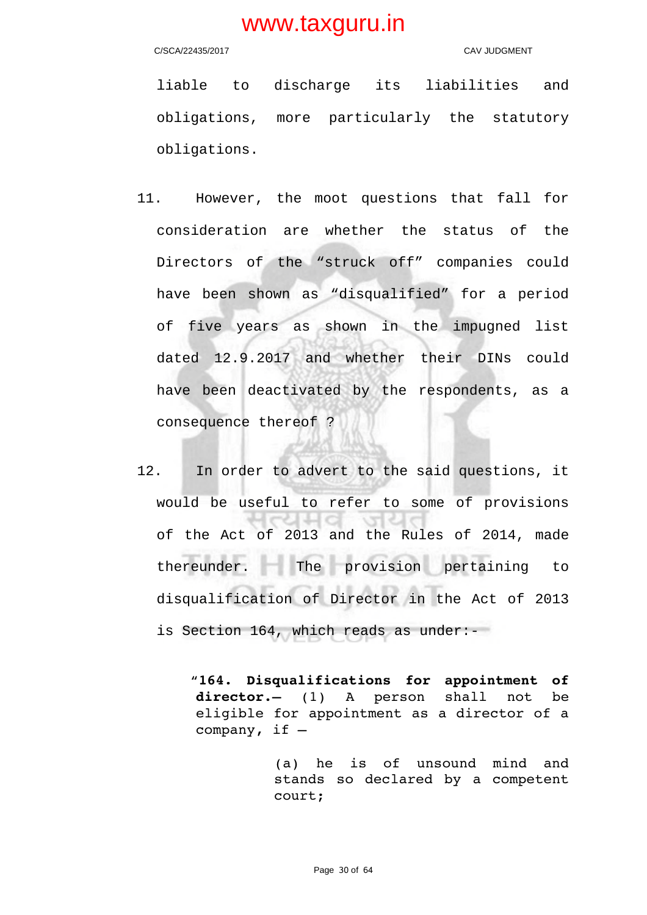C/SCA/22435/2017 CAV JUDGMENT

liable to discharge its liabilities and obligations, more particularly the statutory obligations.

- 11. However, the moot questions that fall for consideration are whether the status of the Directors of the "struck off" companies could have been shown as "disqualified" for a period of five years as shown in the impugned list dated 12.9.2017 and whether their DINs could have been deactivated by the respondents, as a consequence thereof ?
- 12. In order to advert to the said questions, it would be useful to refer to some of provisions of the Act of 2013 and the Rules of 2014, made thereunder. The provision pertaining to disqualification of Director in the Act of 2013 is Section 164, which reads as under:-

 "**164. Disqualifications for appointment of** director.- (1) A person shall not be eligible for appointment as a director of a company, if —

> (a) he is of unsound mind and stands so declared by a competent court;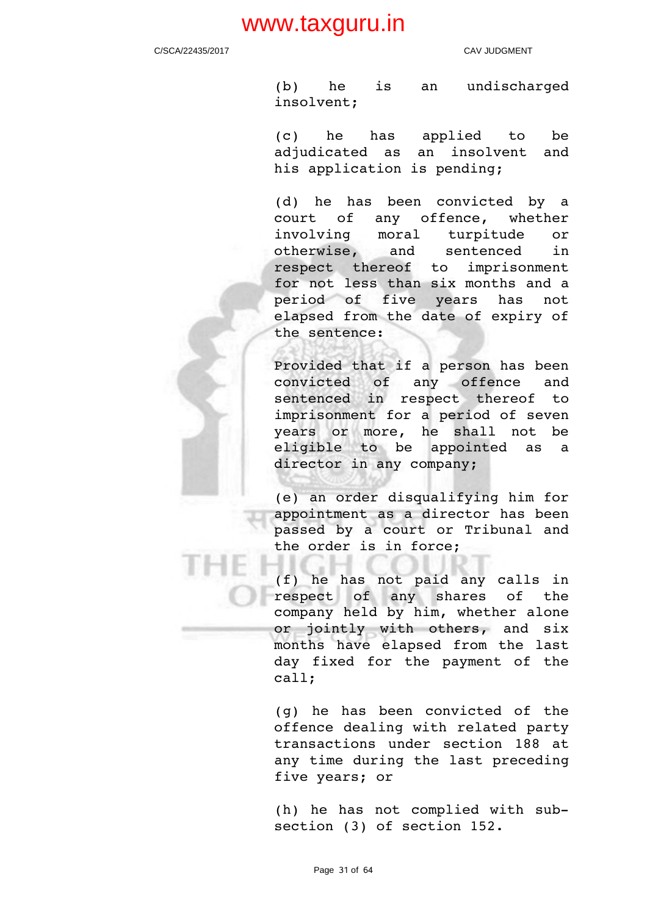C/SCA/22435/2017 CAV JUDGMENT

(b) he is an undischarged insolvent;

(c) he has applied to be adjudicated as an insolvent and his application is pending;

(d) he has been convicted by a court of any offence, whether involving moral turpitude or otherwise, and sentenced in respect thereof to imprisonment for not less than six months and a period of five years has not elapsed from the date of expiry of the sentence:

Provided that if a person has been convicted of any offence and sentenced in respect thereof to imprisonment for a period of seven years or more, he shall not be eligible to be appointed as a director in any company;

(e) an order disqualifying him for appointment as a director has been passed by a court or Tribunal and the order is in force;

(f) he has not paid any calls in respect of any shares of the company held by him, whether alone or jointly with others, and six months have elapsed from the last day fixed for the payment of the call;

(g) he has been convicted of the offence dealing with related party transactions under section 188 at any time during the last preceding five years; or

(h) he has not complied with subsection (3) of section 152.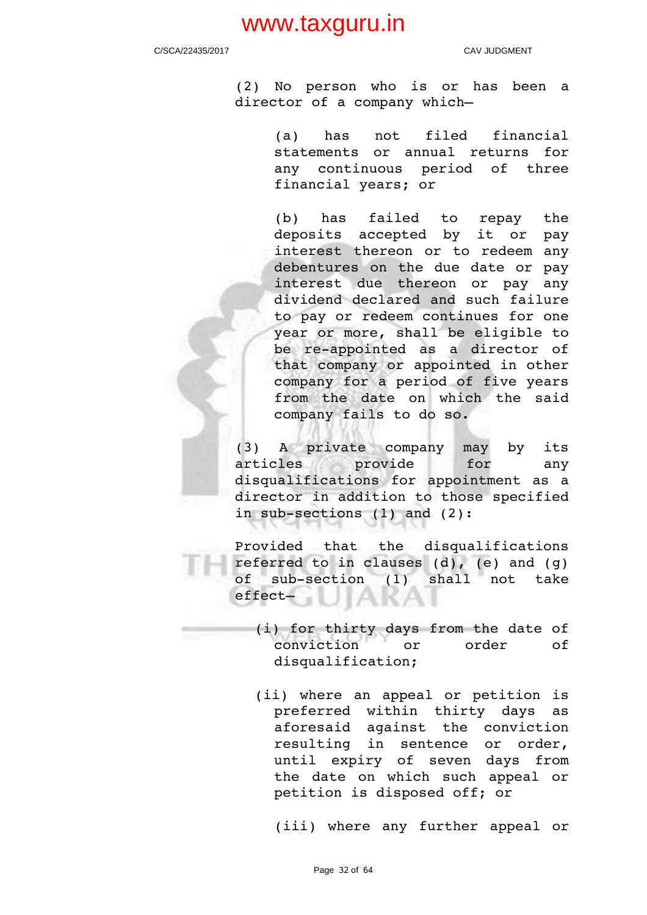C/SCA/22435/2017 CAV JUDGMENT

(2) No person who is or has been a director of a company which—

> (a) has not filed financial statements or annual returns for any continuous period of three financial years; or

> (b) has failed to repay the deposits accepted by it or pay interest thereon or to redeem any debentures on the due date or pay interest due thereon or pay any dividend declared and such failure to pay or redeem continues for one year or more, shall be eligible to be re-appointed as a director of that company or appointed in other company for a period of five years from the date on which the said company fails to do so.

(3) A private company may by its articles provide for any disqualifications for appointment as a director in addition to those specified in sub-sections  $(1)$  and  $(2)$ :

Provided that the disqualifications referred to in clauses  $(d)$ ,  $(e)$  and  $(q)$ of sub-section (1) shall not take effect— **IAKAI** 

(i) for thirty days from the date of conviction or order of disqualification;

(ii) where an appeal or petition is preferred within thirty days as aforesaid against the conviction resulting in sentence or order, until expiry of seven days from the date on which such appeal or petition is disposed off; or

(iii) where any further appeal or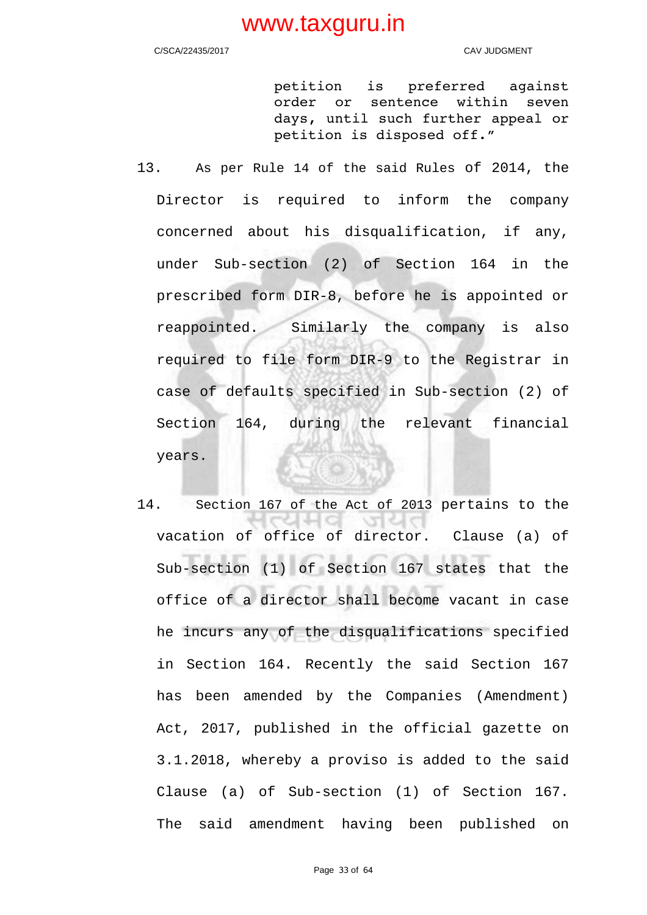C/SCA/22435/2017 CAV JUDGMENT

petition is preferred against order or sentence within seven days, until such further appeal or petition is disposed off."

- 13. As per Rule 14 of the said Rules of 2014, the Director is required to inform the company concerned about his disqualification, if any, under Sub-section (2) of Section 164 in the prescribed form DIR-8, before he is appointed or reappointed. Similarly the company is also required to file form DIR-9 to the Registrar in case of defaults specified in Sub-section (2) of Section 164, during the relevant financial years.
- 14. Section 167 of the Act of 2013 pertains to the 내쉬야 vacation of office of director. Clause (a) of Sub-section (1) of Section 167 states that the office of a director shall become vacant in case he incurs any of the disqualifications specified in Section 164. Recently the said Section 167 has been amended by the Companies (Amendment) Act, 2017, published in the official gazette on 3.1.2018, whereby a proviso is added to the said Clause (a) of Sub-section (1) of Section 167. The said amendment having been published on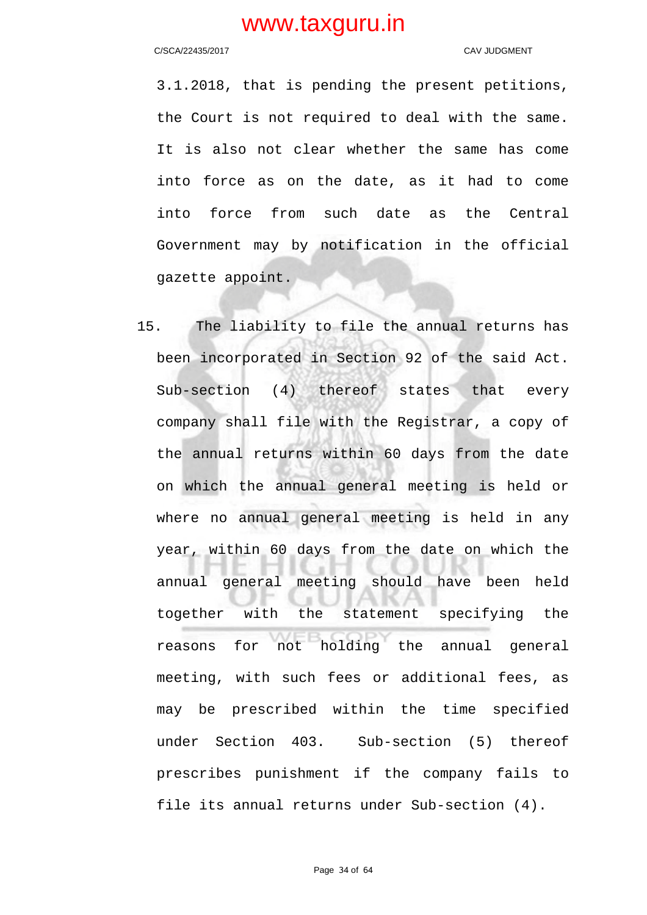C/SCA/22435/2017 CAV JUDGMENT

3.1.2018, that is pending the present petitions, the Court is not required to deal with the same. It is also not clear whether the same has come into force as on the date, as it had to come into force from such date as the Central Government may by notification in the official gazette appoint.

15. The liability to file the annual returns has been incorporated in Section 92 of the said Act. Sub-section (4) thereof states that every company shall file with the Registrar, a copy of the annual returns within 60 days from the date on which the annual general meeting is held or where no annual general meeting is held in any year, within 60 days from the date on which the annual general meeting should have been held together with the statement specifying the reasons for not holding the annual general meeting, with such fees or additional fees, as may be prescribed within the time specified under Section 403. Sub-section (5) thereof prescribes punishment if the company fails to file its annual returns under Sub-section (4).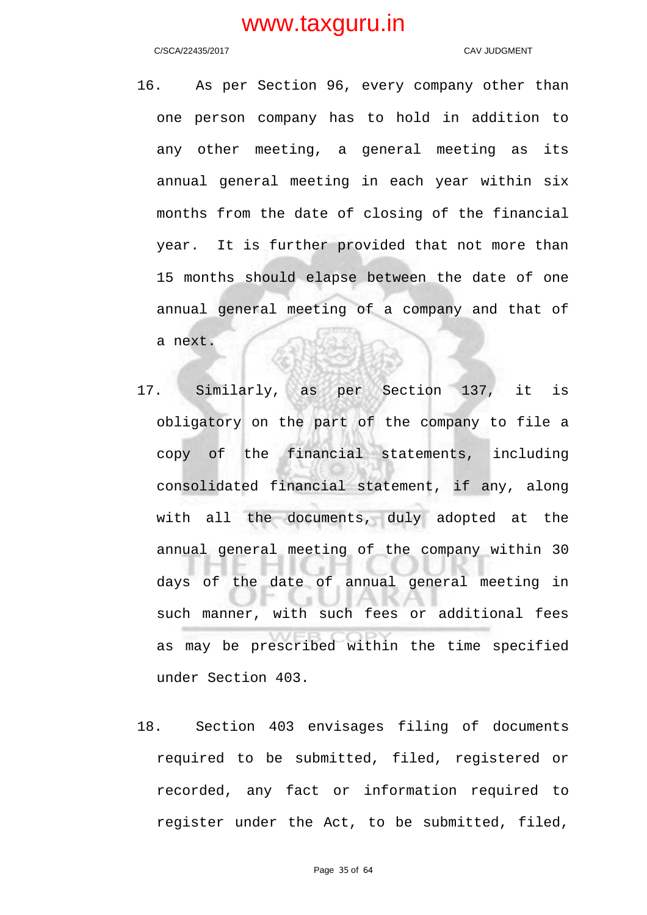C/SCA/22435/2017 CAV JUDGMENT

- 16. As per Section 96, every company other than one person company has to hold in addition to any other meeting, a general meeting as its annual general meeting in each year within six months from the date of closing of the financial year. It is further provided that not more than 15 months should elapse between the date of one annual general meeting of a company and that of a next.
- 17. Similarly, as per Section 137, it is obligatory on the part of the company to file a copy of the financial statements, including consolidated financial statement, if any, along with all the documents, duly adopted at the annual general meeting of the company within 30 days of the date of annual general meeting in such manner, with such fees or additional fees as may be prescribed within the time specified under Section 403.
- 18. Section 403 envisages filing of documents required to be submitted, filed, registered or recorded, any fact or information required to register under the Act, to be submitted, filed,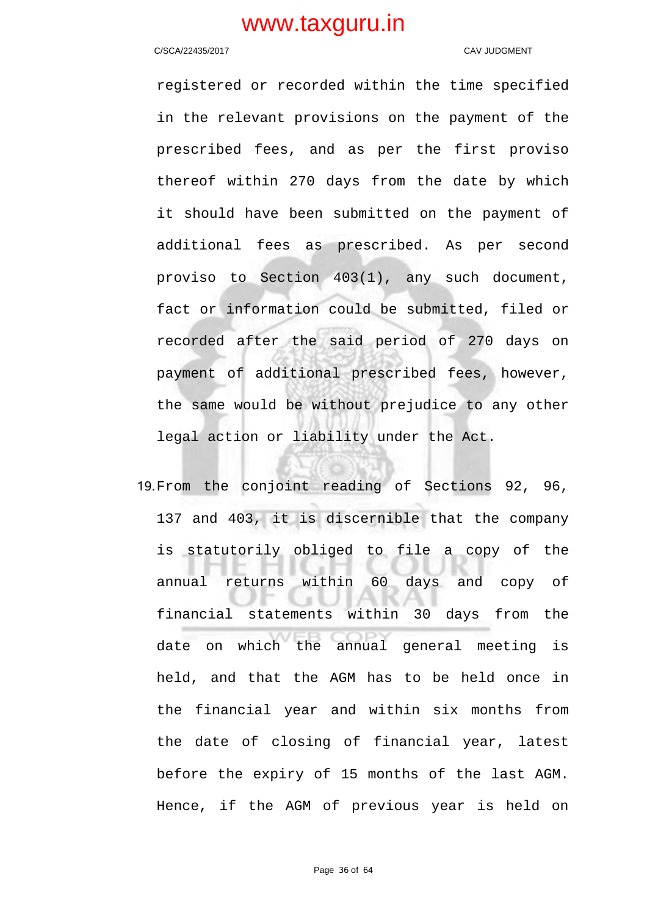### C/SCA/22435/2017 CAV JUDGMENT

registered or recorded within the time specified in the relevant provisions on the payment of the prescribed fees, and as per the first proviso thereof within 270 days from the date by which it should have been submitted on the payment of additional fees as prescribed. As per second proviso to Section 403(1), any such document, fact or information could be submitted, filed or recorded after the said period of 270 days on payment of additional prescribed fees, however, the same would be without prejudice to any other legal action or liability under the Act.

19.From the conjoint reading of Sections 92, 96, 137 and 403, it is discernible that the company is statutorily obliged to file a copy of the annual returns within 60 days and copy of financial statements within 30 days from the date on which the annual general meeting is held, and that the AGM has to be held once in the financial year and within six months from the date of closing of financial year, latest before the expiry of 15 months of the last AGM. Hence, if the AGM of previous year is held on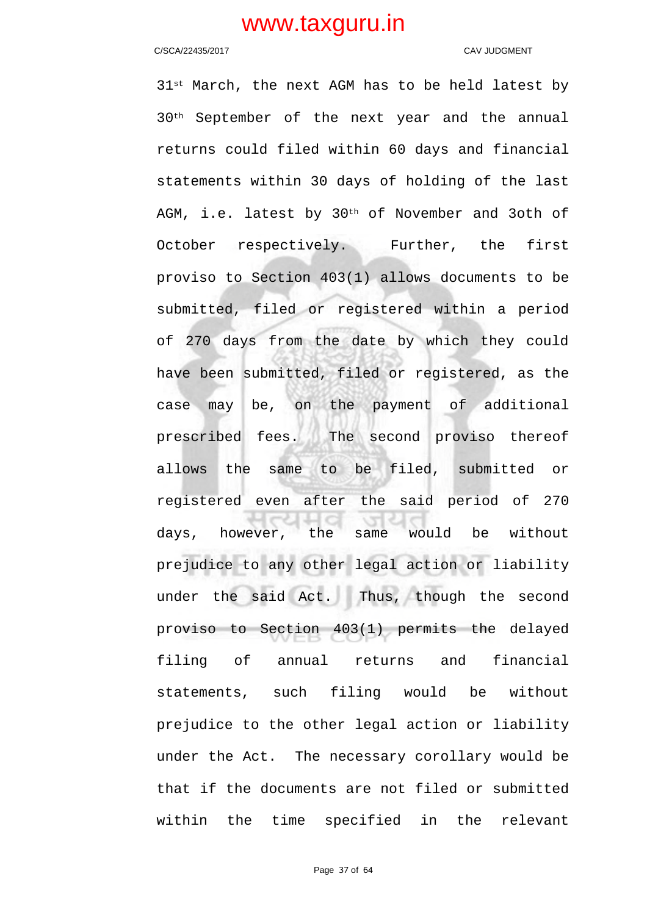### C/SCA/22435/2017 C/SCA/22435/2017

31<sup>st</sup> March, the next AGM has to be held latest by 30th September of the next year and the annual returns could filed within 60 days and financial statements within 30 days of holding of the last AGM, i.e. latest by 30<sup>th</sup> of November and 3oth of October respectively. Further, the first proviso to Section 403(1) allows documents to be submitted, filed or registered within a period of 270 days from the date by which they could have been submitted, filed or registered, as the case may be, on the payment of additional prescribed fees. The second proviso thereof allows the same to be filed, submitted or registered even after the said period of 270 days, however, the same would be without prejudice to any other legal action or liability under the said Act. Thus, though the second proviso to Section 403(1) permits the delayed filing of annual returns and financial statements, such filing would be without prejudice to the other legal action or liability under the Act. The necessary corollary would be that if the documents are not filed or submitted within the time specified in the relevant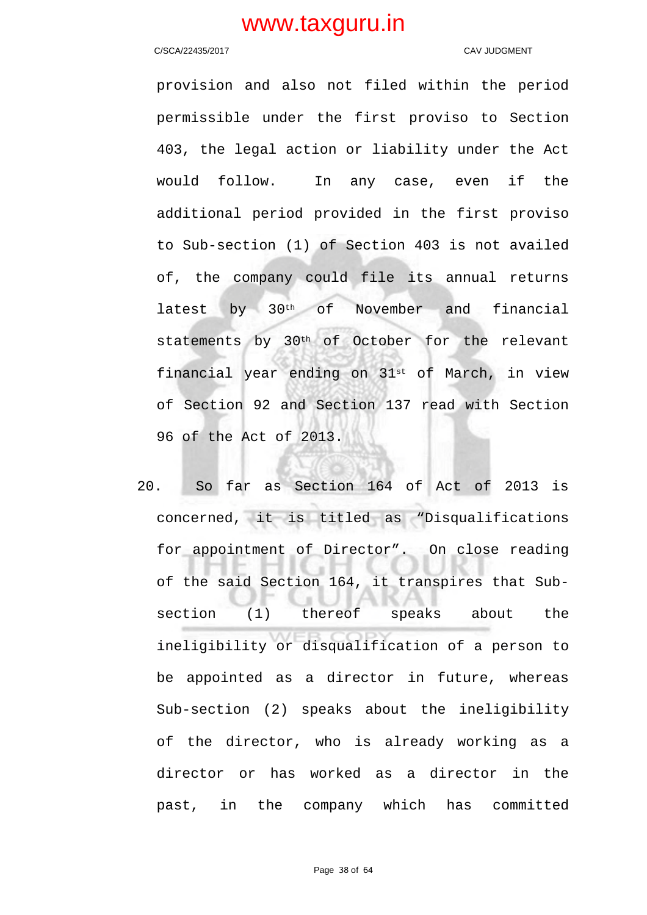### C/SCA/22435/2017 C/SCA/22435/2017

provision and also not filed within the period permissible under the first proviso to Section 403, the legal action or liability under the Act would follow. In any case, even if the additional period provided in the first proviso to Sub-section (1) of Section 403 is not availed of, the company could file its annual returns latest by 30th of November and financial statements by 30th of October for the relevant financial year ending on  $31^{st}$  of March, in view of Section 92 and Section 137 read with Section 96 of the Act of 2013.

20. So far as Section 164 of Act of 2013 is concerned, it is titled as "Disqualifications for appointment of Director". On close reading of the said Section 164, it transpires that Subsection (1) thereof speaks about the ineligibility or disqualification of a person to be appointed as a director in future, whereas Sub-section (2) speaks about the ineligibility of the director, who is already working as a director or has worked as a director in the past, in the company which has committed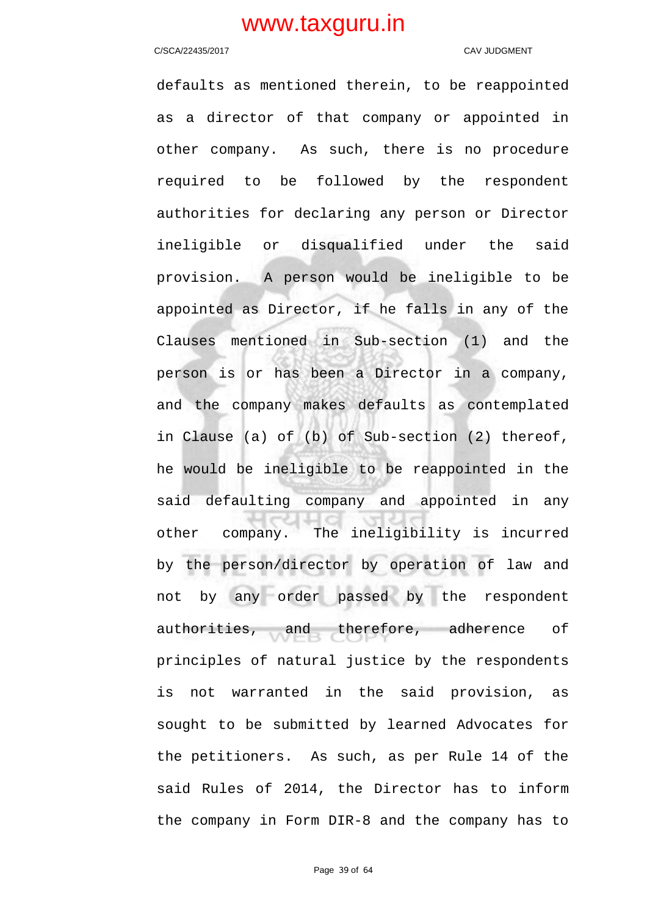### C/SCA/22435/2017 C/SCA/22435/2017

defaults as mentioned therein, to be reappointed as a director of that company or appointed in other company. As such, there is no procedure required to be followed by the respondent authorities for declaring any person or Director ineligible or disqualified under the said provision. A person would be ineligible to be appointed as Director, if he falls in any of the Clauses mentioned in Sub-section (1) and the person is or has been a Director in a company, and the company makes defaults as contemplated in Clause (a) of (b) of Sub-section (2) thereof, he would be ineligible to be reappointed in the said defaulting company and appointed in any other company. The ineligibility is incurred by the person/director by operation of law and not by any order passed by the respondent authorities, and therefore, adherence of principles of natural justice by the respondents is not warranted in the said provision, as sought to be submitted by learned Advocates for the petitioners. As such, as per Rule 14 of the said Rules of 2014, the Director has to inform the company in Form DIR-8 and the company has to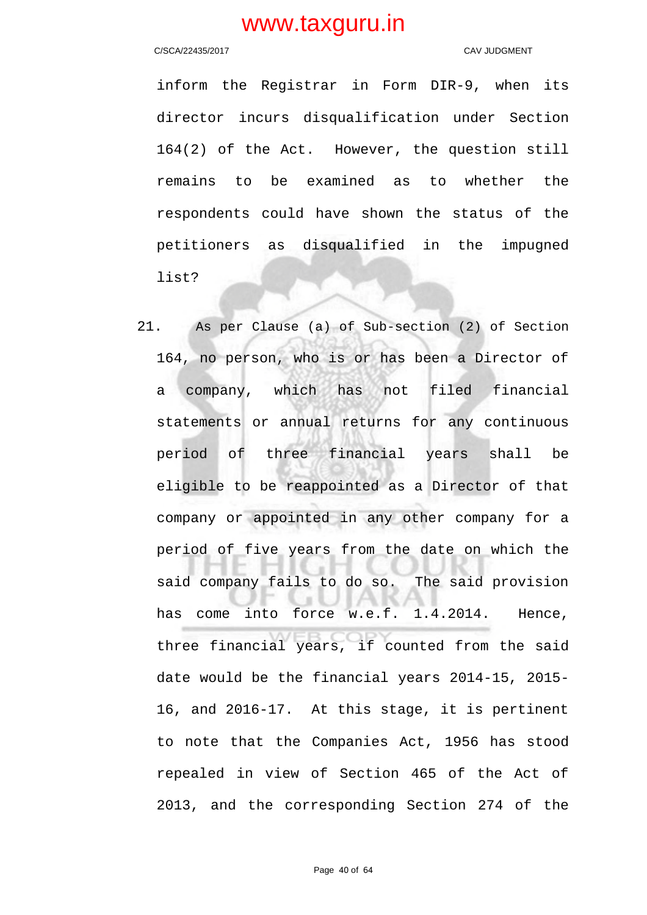### C/SCA/22435/2017 CAV JUDGMENT

inform the Registrar in Form DIR-9, when its director incurs disqualification under Section 164(2) of the Act. However, the question still remains to be examined as to whether the respondents could have shown the status of the petitioners as disqualified in the impugned list?

21. As per Clause (a) of Sub-section (2) of Section 164, no person, who is or has been a Director of a company, which has not filed financial statements or annual returns for any continuous period of three financial years shall be eligible to be reappointed as a Director of that company or appointed in any other company for a period of five years from the date on which the said company fails to do so. The said provision has come into force w.e.f. 1.4.2014. Hence, three financial years, if counted from the said date would be the financial years 2014-15, 2015- 16, and 2016-17. At this stage, it is pertinent to note that the Companies Act, 1956 has stood repealed in view of Section 465 of the Act of 2013, and the corresponding Section 274 of the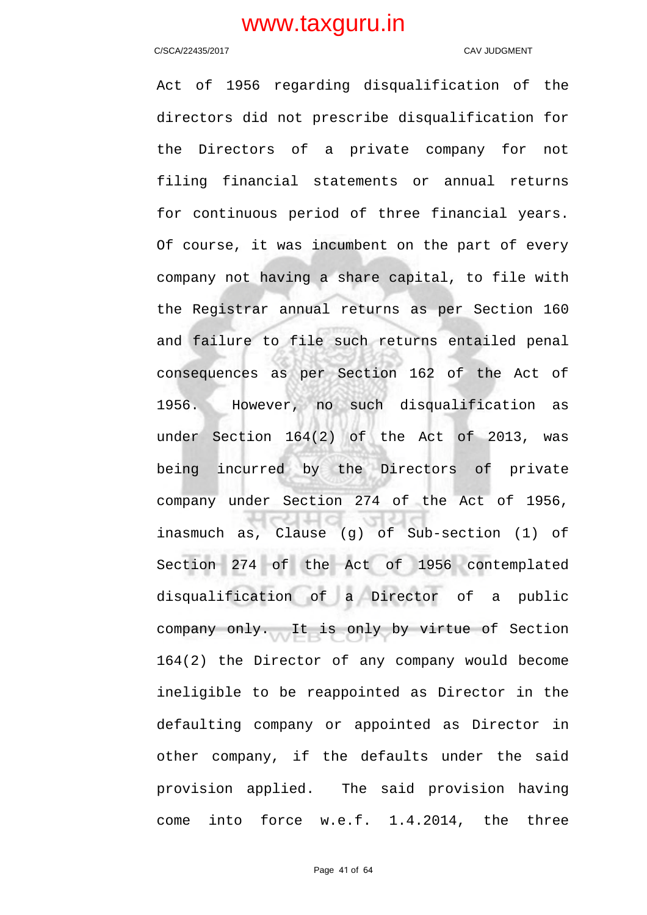### C/SCA/22435/2017 C/SCA/22435/2017

Act of 1956 regarding disqualification of the directors did not prescribe disqualification for the Directors of a private company for not filing financial statements or annual returns for continuous period of three financial years. Of course, it was incumbent on the part of every company not having a share capital, to file with the Registrar annual returns as per Section 160 and failure to file such returns entailed penal consequences as per Section 162 of the Act of 1956. However, no such disqualification as under Section 164(2) of the Act of 2013, was being incurred by the Directors of private company under Section 274 of the Act of 1956, inasmuch as, Clause (g) of Sub-section (1) of Section 274 of the Act of 1956 contemplated disqualification of a Director of a public company only. It is only by virtue of Section 164(2) the Director of any company would become ineligible to be reappointed as Director in the defaulting company or appointed as Director in other company, if the defaults under the said provision applied. The said provision having come into force w.e.f. 1.4.2014, the three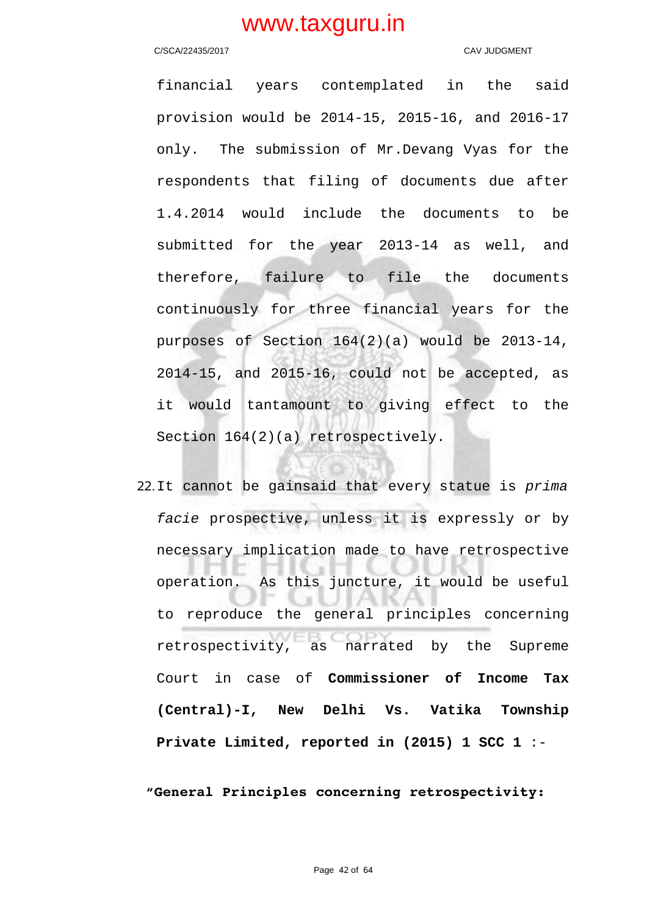### C/SCA/22435/2017 CAV JUDGMENT

financial years contemplated in the said provision would be 2014-15, 2015-16, and 2016-17 only. The submission of Mr.Devang Vyas for the respondents that filing of documents due after 1.4.2014 would include the documents to be submitted for the year 2013-14 as well, and therefore, failure to file the documents continuously for three financial years for the purposes of Section 164(2)(a) would be 2013-14, 2014-15, and 2015-16, could not be accepted, as it would tantamount to giving effect to the Section  $164(2)(a)$  retrospectively.

22.It cannot be gainsaid that every statue is prima facie prospective, unless it is expressly or by necessary implication made to have retrospective operation. As this juncture, it would be useful to reproduce the general principles concerning retrospectivity, as narrated by the Supreme Court in case of **Commissioner of Income Tax (Central)-I, New Delhi Vs. Vatika Township Private Limited, reported in (2015) 1 SCC 1** :-

## **"General Principles concerning retrospectivity:**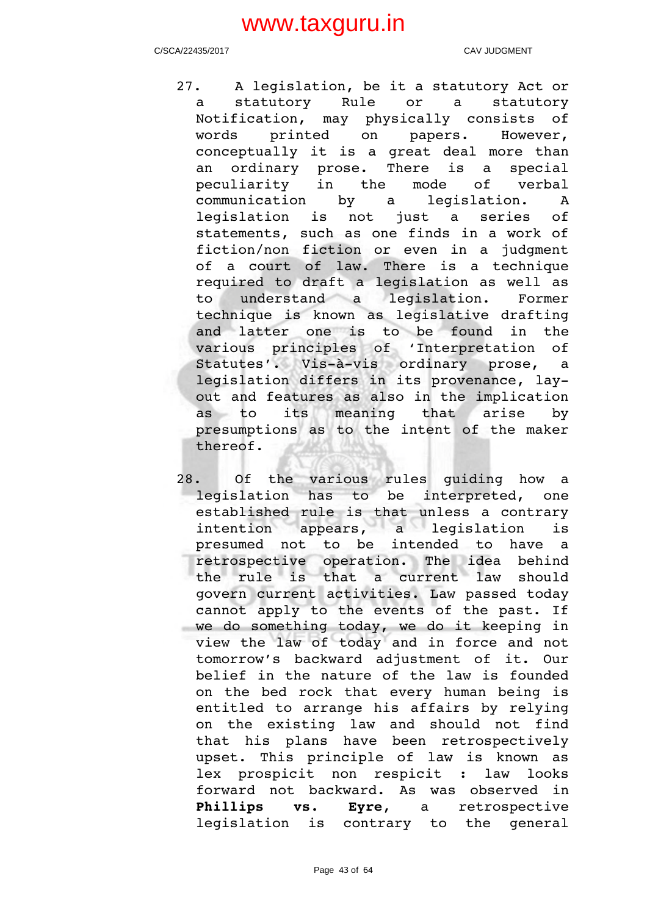C/SCA/22435/2017 CAV JUDGMENT

- 27. A legislation, be it a statutory Act or a statutory Rule or a statutory Notification, may physically consists of words printed on papers. However, conceptually it is a great deal more than an ordinary prose. There is a special peculiarity in the mode of verbal communication by a legislation. A legislation is not just a series of statements, such as one finds in a work of fiction/non fiction or even in a judgment of a court of law. There is a technique required to draft a legislation as well as to understand a legislation. Former technique is known as legislative drafting and latter one is to be found in the various principles of 'Interpretation of Statutes'. Vis-à-vis ordinary prose, a legislation differs in its provenance, layout and features as also in the implication as to its meaning that arise by presumptions as to the intent of the maker thereof.
- 28. Of the various rules quiding how a legislation has to be interpreted, one established rule is that unless a contrary intention appears, a legislation is presumed not to be intended to have a retrospective operation. The idea behind the rule is that a current law should govern current activities. Law passed today cannot apply to the events of the past. If we do something today, we do it keeping in view the law of today and in force and not tomorrow's backward adjustment of it. Our belief in the nature of the law is founded on the bed rock that every human being is entitled to arrange his affairs by relying on the existing law and should not find that his plans have been retrospectively upset. This principle of law is known as lex prospicit non respicit : law looks forward not backward. As was observed in Phillips vs. Eyre, a retrospective legislation is contrary to the general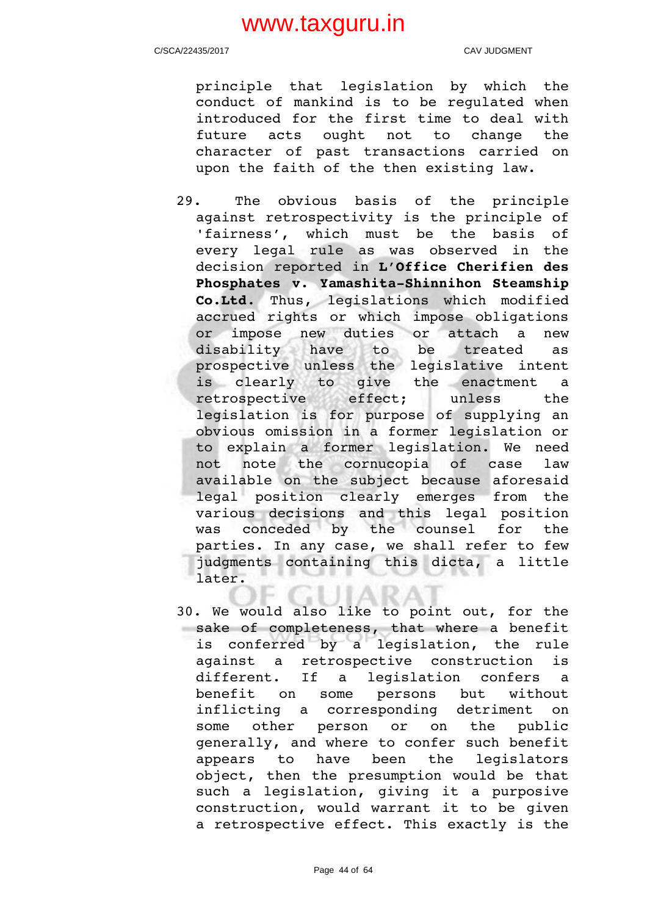C/SCA/22435/2017 CAV JUDGMENT

principle that legislation by which the conduct of mankind is to be regulated when introduced for the first time to deal with future acts ought not to change the character of past transactions carried on upon the faith of the then existing law.

- 29. The obvious basis of the principle against retrospectivity is the principle of 'fairness', which must be the basis of every legal rule as was observed in the decision reported in **L'Office Cherifien des** Phosphates v. Yamashita-Shinnihon Steamship **Co.Ltd**. Thus, legislations which modified accrued rights or which impose obligations or impose new duties or attach a new disability have to be treated as prospective unless the legislative intent is clearly to qive the enactment a retrospective effect: unless the legislation is for purpose of supplying an obvious omission in a former legislation or to explain a former legislation. We need not note the cornucopia of case law available on the subject because aforesaid legal position clearly emerges from the various decisions and this legal position was conceded by the counsel for the parties. In any case, we shall refer to few judgments containing this dicta, a little later.
- 30. We would also like to point out, for the sake of completeness, that where a benefit is conferred by a legislation, the rule against a retrospective construction is different. If a legislation confers a benefit on some persons but without inflicting a corresponding detriment on some other person or on the public generally, and where to confer such benefit appears to have been the legislators object, then the presumption would be that such a legislation, giving it a purposive construction, would warrant it to be given a retrospective effect. This exactly is the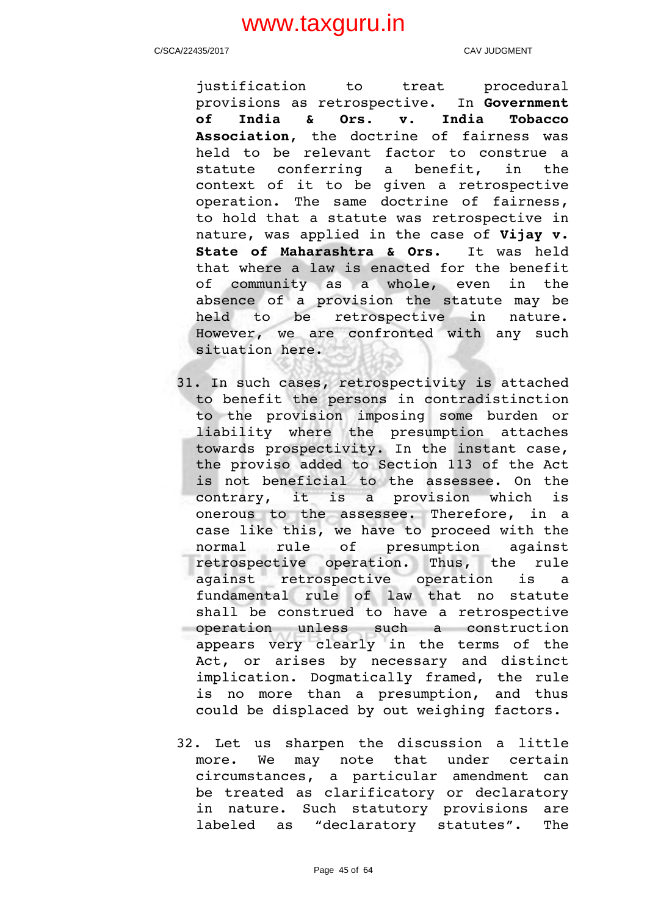C/SCA/22435/2017 CAV JUDGMENT

iustification to treat procedural provisions as retrospective. In **Government of India & Ors. v. India Tobacco** Association, the doctrine of fairness was held to be relevant factor to construe a statute conferring a benefit, in the context of it to be given a retrospective operation. The same doctrine of fairness, to hold that a statute was retrospective in nature, was applied in the case of **Vijay v. State of Maharashtra & Ors.** It was held that where a law is enacted for the benefit of community as a whole, even in the absence of a provision the statute may be held to be retrospective in nature. However, we are confronted with any such situation here.

- 31. In such cases, retrospectivity is attached to benefit the persons in contradistinction to the provision imposing some burden or liability where the presumption attaches towards prospectivity. In the instant case, the proviso added to Section 113 of the Act is not beneficial to the assessee. On the contrary, it is a provision which is onerous to the assessee. Therefore, in a case like this, we have to proceed with the normal rule of presumption against retrospective operation. Thus, the rule against retrospective operation is a fundamental rule of law that no statute shall be construed to have a retrospective operation unless such a construction appears very clearly in the terms of the Act, or arises by necessary and distinct implication. Dogmatically framed, the rule is no more than a presumption, and thus could be displaced by out weighing factors.
- 32. Let us sharpen the discussion a little more. We may note that under certain circumstances, a particular amendment can be treated as clarificatory or declaratory in nature. Such statutory provisions are labeled as "declaratory statutes". The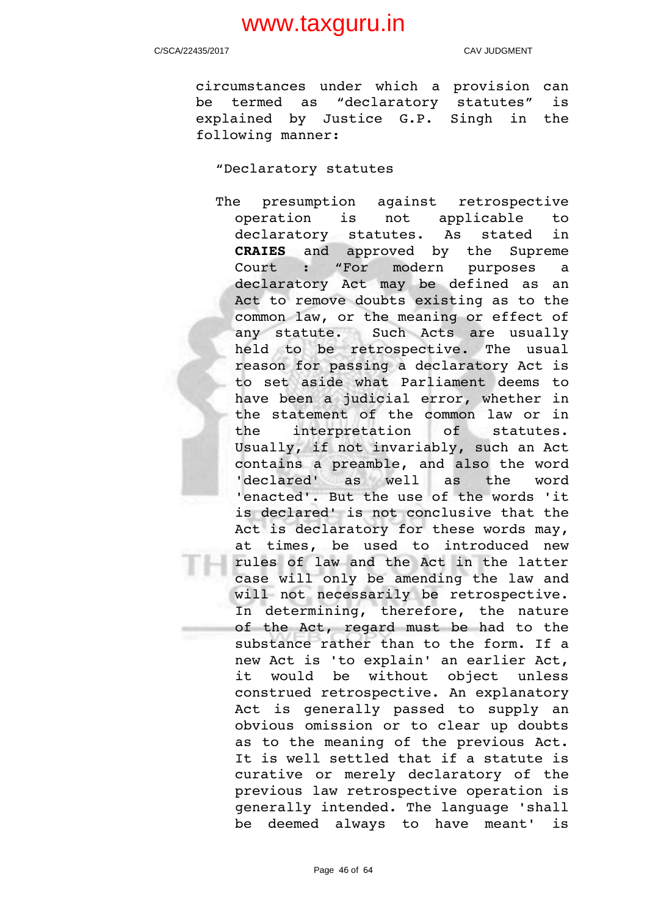C/SCA/22435/2017 CAV JUDGMENT

circumstances under which a provision can be termed as "declaratory statutes" is explained by Justice G.P. Singh in the following manner:

"Declaratory statutes

The presumption against retrospective operation is not applicable to declaratory statutes. As stated in **CRAIES** and approved by the Supreme Court : "For modern purposes a declaratory Act may be defined as an Act to remove doubts existing as to the common law, or the meaning or effect of any statute. Such Acts are usually held to be retrospective. The usual reason for passing a declaratory Act is to set aside what Parliament deems to have been a judicial error, whether in the statement of the common law or in the interpretation of statutes. Usually, if not invariably, such an Act contains a preamble, and also the word 'declared' as well as the word 'enacted'. But the use of the words 'it is declared' is not conclusive that the Act is declaratory for these words may, at times, be used to introduced new rules of law and the Act in the latter case will only be amending the law and will not necessarily be retrospective. In determining, therefore, the nature of the Act, regard must be had to the substance rather than to the form. If a new Act is 'to explain' an earlier Act, it would be without object unless construed retrospective. An explanatory Act is generally passed to supply an obvious omission or to clear up doubts as to the meaning of the previous Act. It is well settled that if a statute is curative or merely declaratory of the previous law retrospective operation is generally intended. The language 'shall be deemed always to have meant' is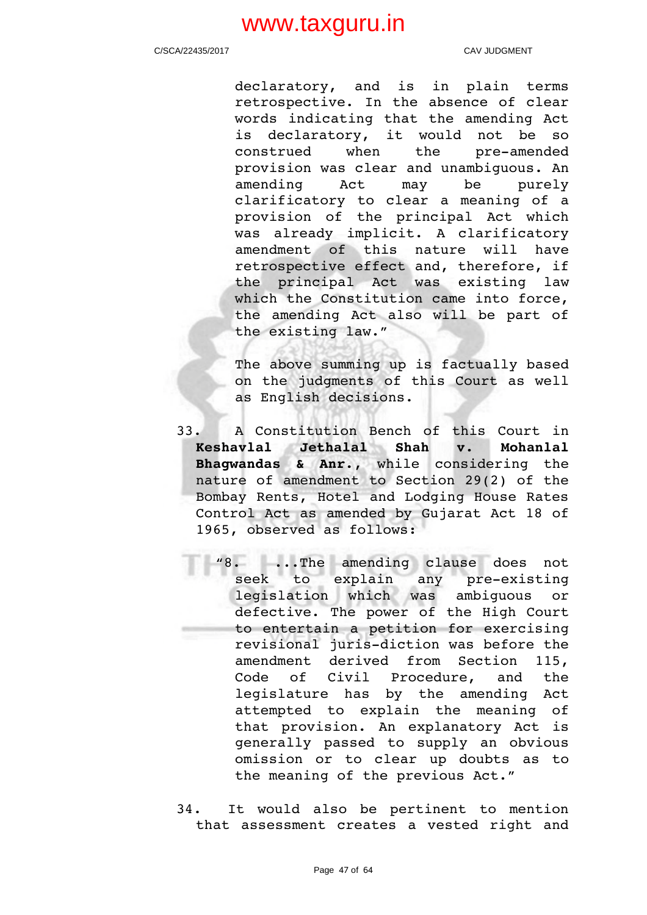C/SCA/22435/2017 CAV JUDGMENT

declaratory, and is in plain terms retrospective. In the absence of clear words indicating that the amending Act is declaratory, it would not be so construed when the pre-amended provision was clear and unambiguous. An amending Act may be purely clarificatory to clear a meaning of a provision of the principal Act which was already implicit. A clarificatory amendment of this nature will have retrospective effect and, therefore, if the principal Act was existing law which the Constitution came into force, the amending Act also will be part of the existing law."

The above summing up is factually based on the judgments of this Court as well as English decisions.

- 33. A Constitution Bench of this Court in **Keshavlal Jethalal Shah v. Mohanlal Bhagwandas & Anr.**, while considering the nature of amendment to Section 29(2) of the Bombay Rents, Hotel and Lodging House Rates Control Act as amended by Gujarat Act 18 of 1965, observed as follows:
	- "8. ..The amending clause does not<br>seek to explain any pre-existing seek to explain any pre-existing legislation which was ambiguous or defective. The power of the High Court to entertain a petition for exercising revisional juris-diction was before the amendment derived from Section 115, Code of Civil Procedure, and the legislature has by the amending Act attempted to explain the meaning of that provision. An explanatory Act is generally passed to supply an obvious omission or to clear up doubts as to the meaning of the previous Act."
- 34. It would also be pertinent to mention that assessment creates a vested right and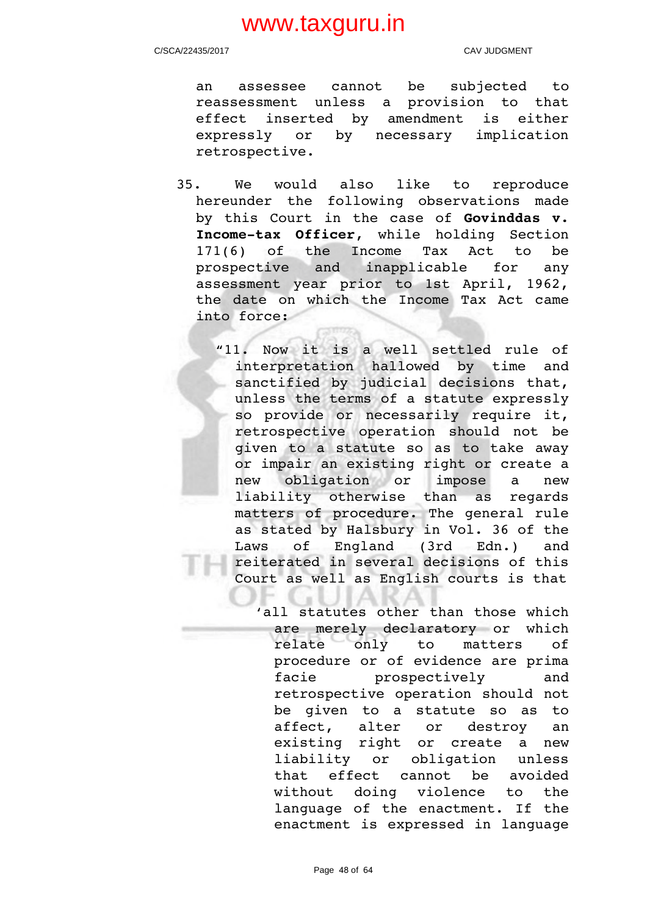C/SCA/22435/2017 CAV JUDGMENT

an assessee cannot be subjected to reassessment unless a provision to that effect inserted by amendment is either expressly or by necessary implication retrospective.

- 35. We would also like to reproduce hereunder the following observations made by this Court in the case of **Govinddas v.** Income-tax Officer, while holding Section 171(6) of the Income Tax Act to be prospective and inapplicable for any assessment year prior to 1st April, 1962, the date on which the Income Tax Act came into force:
	- "11. Now it is a well settled rule of interpretation hallowed by time and sanctified by judicial decisions that, unless the terms of a statute expressly so provide or necessarily require it, retrospective operation should not be given to a statute so as to take away or impair an existing right or create a new obligation or impose a new liability otherwise than as regards matters of procedure. The general rule as stated by Halsbury in Vol. 36 of the Laws of England (3rd Edn.) and reiterated in several decisions of this Court as well as English courts is that

'all statutes other than those which are merely declaratory or which relate only to matters of procedure or of evidence are prima facie prospectively and retrospective operation should not be qiven to a statute so as to affect, alter or destroy an existing right or create a new liability or obligation unless that effect cannot be avoided without doing violence to the language of the enactment. If the enactment is expressed in language

Page 48 of 64

. . . . **.**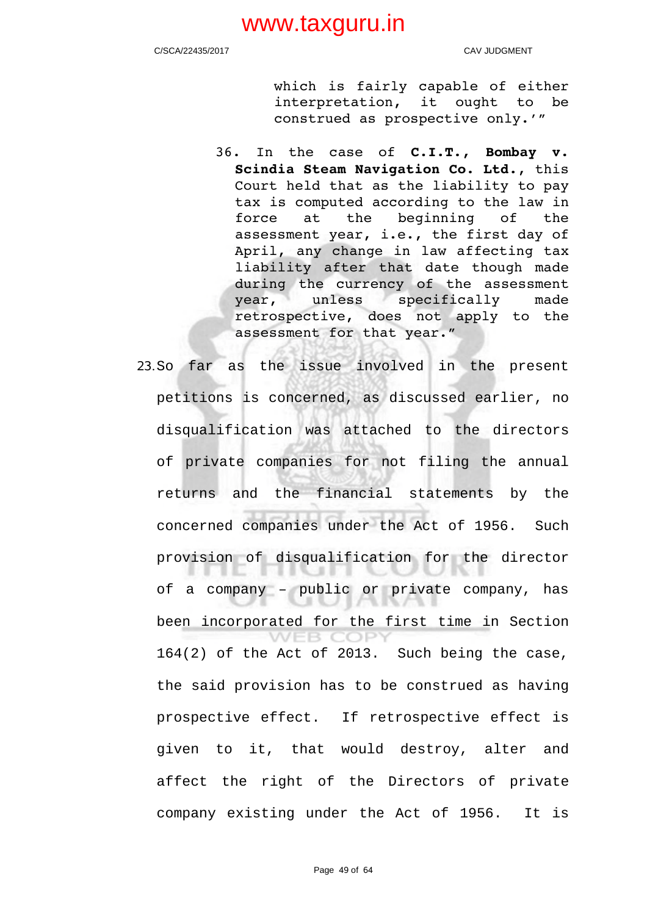C/SCA/22435/2017 CAV JUDGMENT

which is fairly capable of either interpretation, it ought to be construed as prospective only.'"

- 36. In the case of **C.I.T., Bombay v. Scindia Steam Navigation Co. Ltd.**, this Court held that as the liability to pay tax is computed according to the law in force at the beginning of the assessment year, i.e., the first day of April, any change in law affecting tax liability after that date though made during the currency of the assessment year, unless specifically made retrospective, does not apply to the assessment for that year."
- 23.So far as the issue involved in the present petitions is concerned, as discussed earlier, no disqualification was attached to the directors of private companies for not filing the annual returns and the financial statements by the concerned companies under the Act of 1956. Such provision of disqualification for the director ு 1 of a company – public or private company, has been incorporated for the first time in Section **WEB COPY** 164(2) of the Act of 2013. Such being the case, the said provision has to be construed as having prospective effect. If retrospective effect is given to it, that would destroy, alter and affect the right of the Directors of private company existing under the Act of 1956. It is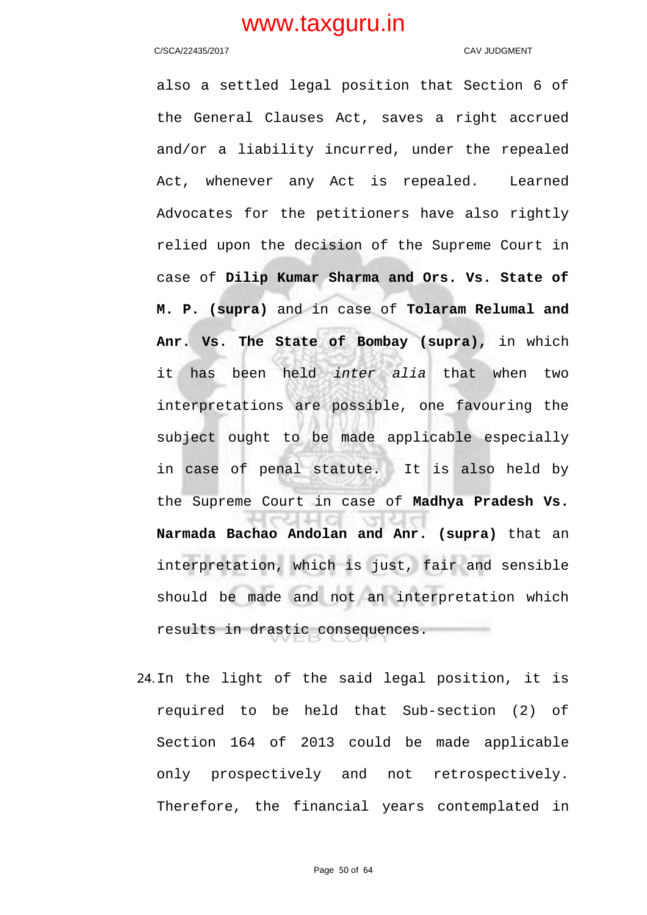### C/SCA/22435/2017 CAV JUDGMENT

also a settled legal position that Section 6 of the General Clauses Act, saves a right accrued and/or a liability incurred, under the repealed Act, whenever any Act is repealed. Learned Advocates for the petitioners have also rightly relied upon the decision of the Supreme Court in case of **Dilip Kumar Sharma and Ors. Vs. State of M. P. (supra)** and in case of **Tolaram Relumal and Anr. Vs. The State of Bombay (supra),** in which it has been held inter alia that when two interpretations are possible, one favouring the subject ought to be made applicable especially in case of penal statute. It is also held by the Supreme Court in case of **Madhya Pradesh Vs. Narmada Bachao Andolan and Anr. (supra)** that an interpretation, which is just, fair and sensible should be made and not an interpretation which results in drastic consequences.

24.In the light of the said legal position, it is required to be held that Sub-section (2) of Section 164 of 2013 could be made applicable only prospectively and not retrospectively. Therefore, the financial years contemplated in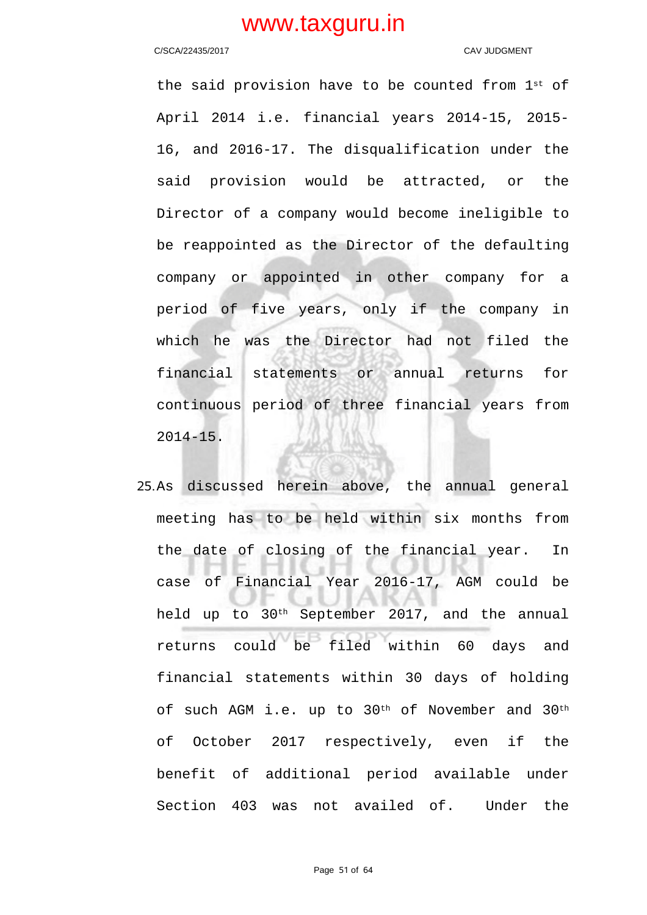### C/SCA/22435/2017 CAV JUDGMENT

the said provision have to be counted from  $1^{st}$  of April 2014 i.e. financial years 2014-15, 2015- 16, and 2016-17. The disqualification under the said provision would be attracted, or the Director of a company would become ineligible to be reappointed as the Director of the defaulting company or appointed in other company for a period of five years, only if the company in which he was the Director had not filed the financial statements or annual returns for continuous period of three financial years from 2014-15.

25.As discussed herein above, the annual general meeting has to be held within six months from the date of closing of the financial year. In case of Financial Year 2016-17, AGM could be held up to 30th September 2017, and the annual returns could be filed within 60 days and financial statements within 30 days of holding of such AGM i.e. up to 30<sup>th</sup> of November and 30<sup>th</sup> of October 2017 respectively, even if the benefit of additional period available under Section 403 was not availed of. Under the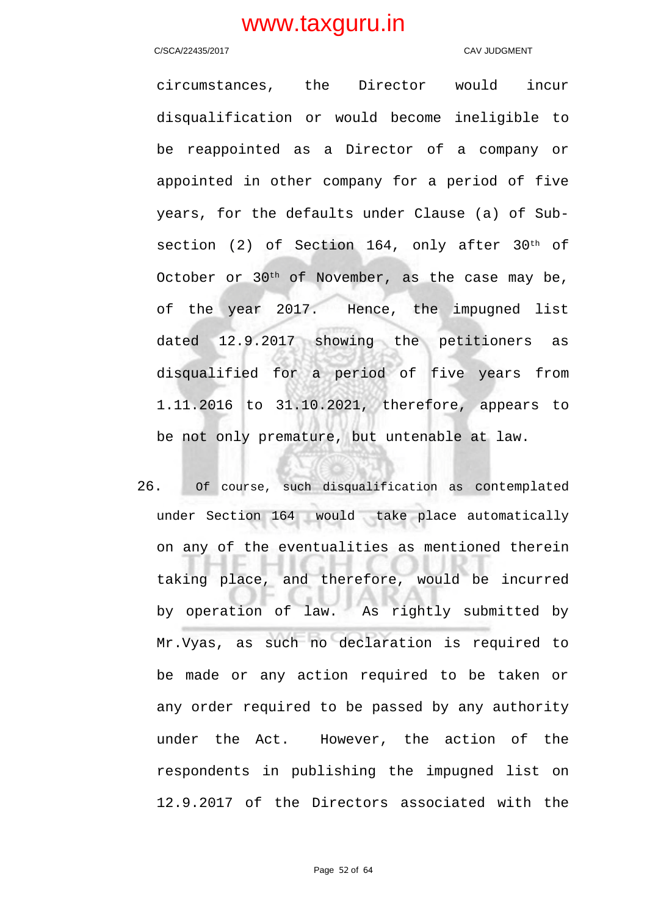### C/SCA/22435/2017 CAV JUDGMENT

circumstances, the Director would incur disqualification or would become ineligible to be reappointed as a Director of a company or appointed in other company for a period of five years, for the defaults under Clause (a) of Subsection (2) of Section 164, only after 30<sup>th</sup> of October or 30th of November, as the case may be, of the year 2017. Hence, the impugned list dated 12.9.2017 showing the petitioners as disqualified for a period of five years from 1.11.2016 to 31.10.2021, therefore, appears to be not only premature, but untenable at law.

26. Of course, such disqualification as contemplated under Section 164 would take place automatically on any of the eventualities as mentioned therein taking place, and therefore, would be incurred by operation of law. As rightly submitted by Mr.Vyas, as such no declaration is required to be made or any action required to be taken or any order required to be passed by any authority under the Act. However, the action of the respondents in publishing the impugned list on 12.9.2017 of the Directors associated with the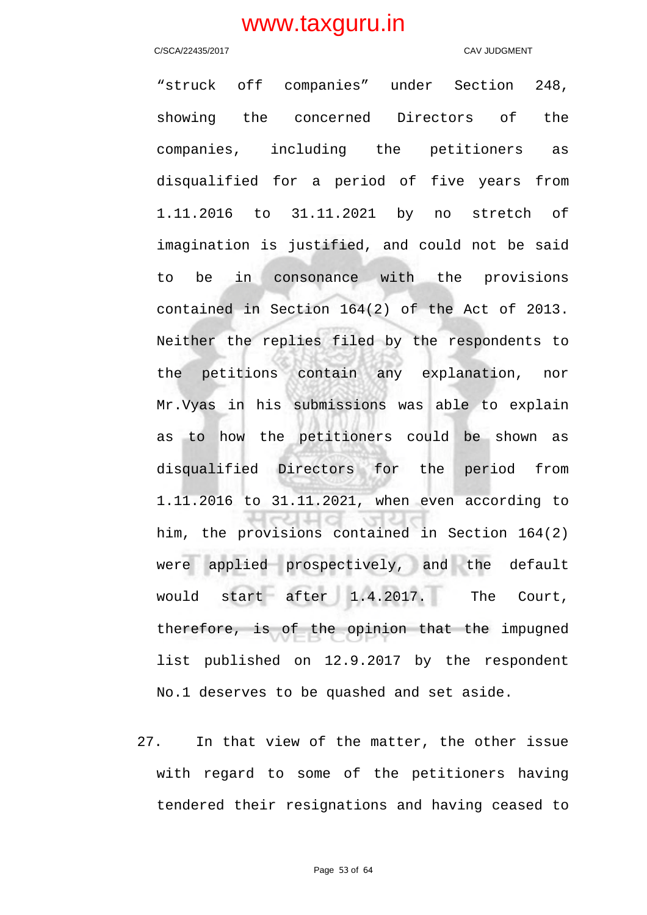### C/SCA/22435/2017 CAV JUDGMENT

"struck off companies" under Section 248, showing the concerned Directors of the companies, including the petitioners as disqualified for a period of five years from 1.11.2016 to 31.11.2021 by no stretch of imagination is justified, and could not be said to be in consonance with the provisions contained in Section 164(2) of the Act of 2013. Neither the replies filed by the respondents to the petitions contain any explanation, nor Mr.Vyas in his submissions was able to explain as to how the petitioners could be shown as disqualified Directors for the period from 1.11.2016 to 31.11.2021, when even according to him, the provisions contained in Section 164(2) were applied prospectively, and the default would start after 1.4.2017. The Court, therefore, is of the opinion that the impugned list published on 12.9.2017 by the respondent No.1 deserves to be quashed and set aside.

27. In that view of the matter, the other issue with regard to some of the petitioners having tendered their resignations and having ceased to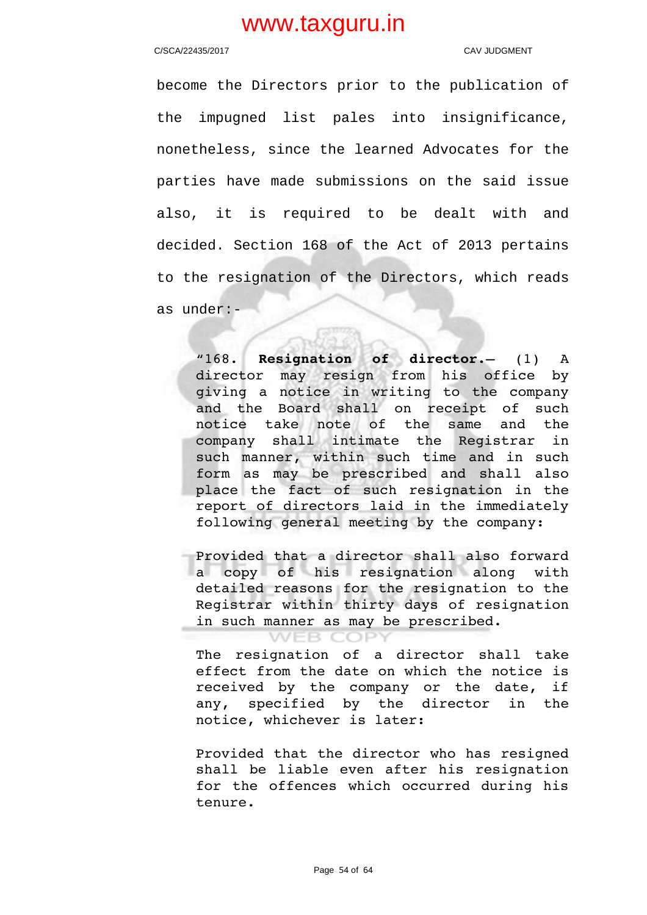### C/SCA/22435/2017 CAV JUDGMENT

become the Directors prior to the publication of the impugned list pales into insignificance, nonetheless, since the learned Advocates for the parties have made submissions on the said issue also, it is required to be dealt with and decided. Section 168 of the Act of 2013 pertains to the resignation of the Directors, which reads as under:-

"168. **Resignation of director.**— (1) A director may resign from his office by giving a notice in writing to the company and the Board shall on receipt of such notice take note of the same and the company shall intimate the Registrar in such manner, within such time and in such form as may be prescribed and shall also place the fact of such resignation in the report of directors laid in the immediately following general meeting by the company:

Provided that a director shall also forward a copy of his resignation along with detailed reasons for the resignation to the Registrar within thirty days of resignation in such manner as may be prescribed.

### **WEB COPY**

The resignation of a director shall take effect from the date on which the notice is received by the company or the date, if any, specified by the director in the notice, whichever is later:

Provided that the director who has resigned shall be liable even after his resignation for the offences which occurred during his tenure.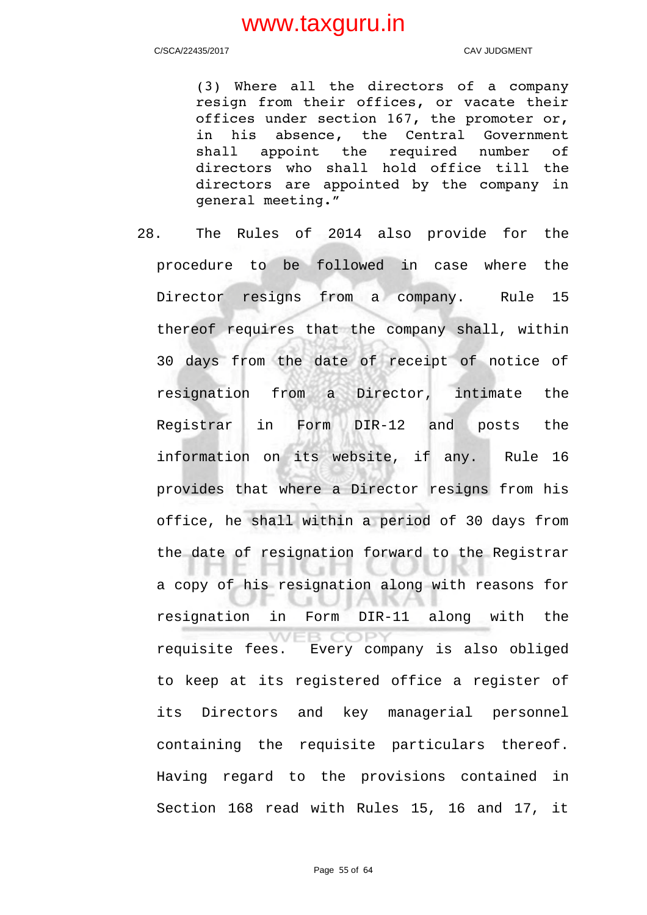C/SCA/22435/2017 CAV JUDGMENT

(3) Where all the directors of a company resign from their offices, or vacate their offices under section 167, the promoter or, in his absence, the Central Government shall appoint the required number of directors who shall hold office till the directors are appointed by the company in general meeting."

28. The Rules of 2014 also provide for the procedure to be followed in case where the Director resigns from a company. Rule 15 thereof requires that the company shall, within 30 days from the date of receipt of notice of resignation from a Director, intimate the Registrar in Form DIR-12 and posts the information on its website, if any. Rule 16 provides that where a Director resigns from his office, he shall within a period of 30 days from the date of resignation forward to the Registrar ENGA UU U a copy of his resignation along with reasons for 89 U JIAKA. resignation in Form DIR-11 along with the **WEB COPY** requisite fees. Every company is also obliged to keep at its registered office a register of its Directors and key managerial personnel containing the requisite particulars thereof. Having regard to the provisions contained in Section 168 read with Rules 15, 16 and 17, it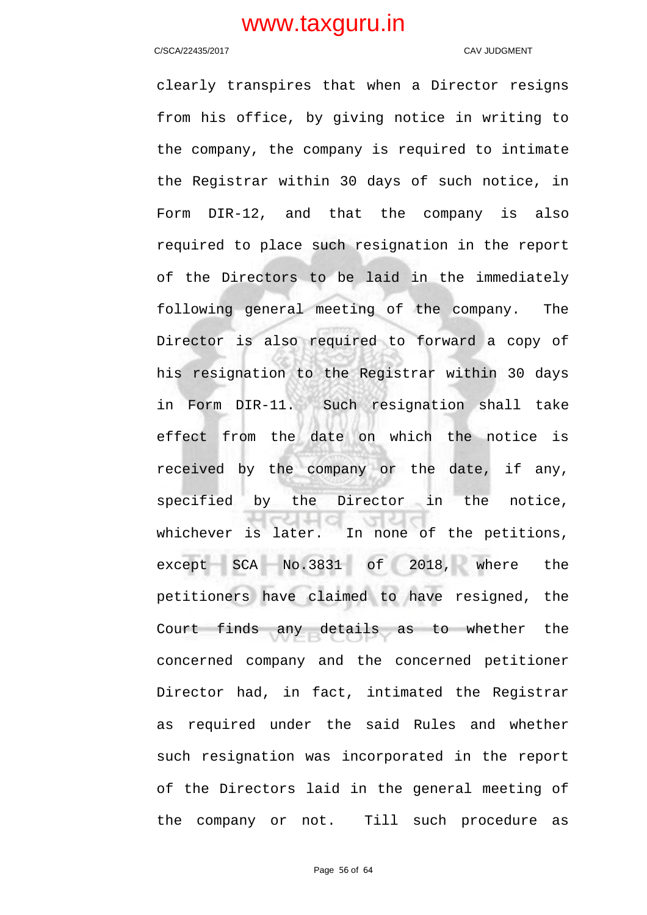### C/SCA/22435/2017 C/SCA/22435/2017

clearly transpires that when a Director resigns from his office, by giving notice in writing to the company, the company is required to intimate the Registrar within 30 days of such notice, in Form DIR-12, and that the company is also required to place such resignation in the report of the Directors to be laid in the immediately following general meeting of the company. The Director is also required to forward a copy of his resignation to the Registrar within 30 days in Form DIR-11. Such resignation shall take effect from the date on which the notice is received by the company or the date, if any, specified by the Director in the notice, whichever is later. In none of the petitions, except SCA No.3831 of 2018, where the petitioners have claimed to have resigned, the Court finds any details as to whether the concerned company and the concerned petitioner Director had, in fact, intimated the Registrar as required under the said Rules and whether such resignation was incorporated in the report of the Directors laid in the general meeting of the company or not. Till such procedure as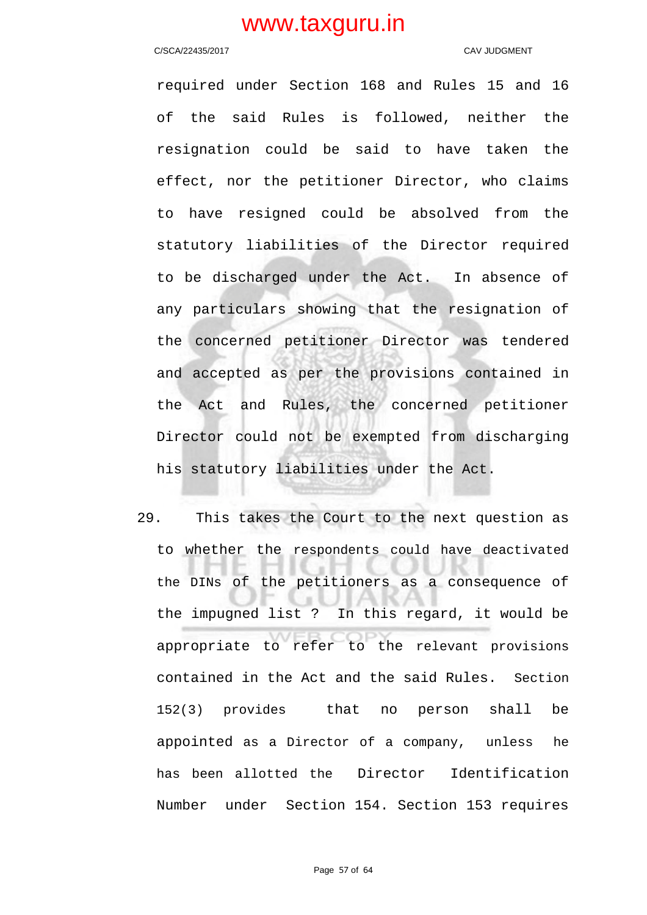### C/SCA/22435/2017 CAV JUDGMENT

required under Section 168 and Rules 15 and 16 of the said Rules is followed, neither the resignation could be said to have taken the effect, nor the petitioner Director, who claims to have resigned could be absolved from the statutory liabilities of the Director required to be discharged under the Act. In absence of any particulars showing that the resignation of the concerned petitioner Director was tendered and accepted as per the provisions contained in the Act and Rules, the concerned petitioner Director could not be exempted from discharging his statutory liabilities under the Act.

29. This takes the Court to the next question as to whether the respondents could have deactivated the DINs of the petitioners as a consequence of the impugned list ? In this regard, it would be appropriate to refer to the relevant provisions contained in the Act and the said Rules. Section 152(3) provides that no person shall be appointed as a Director of a company, unless he has been allotted the Director Identification Number under Section 154. Section 153 requires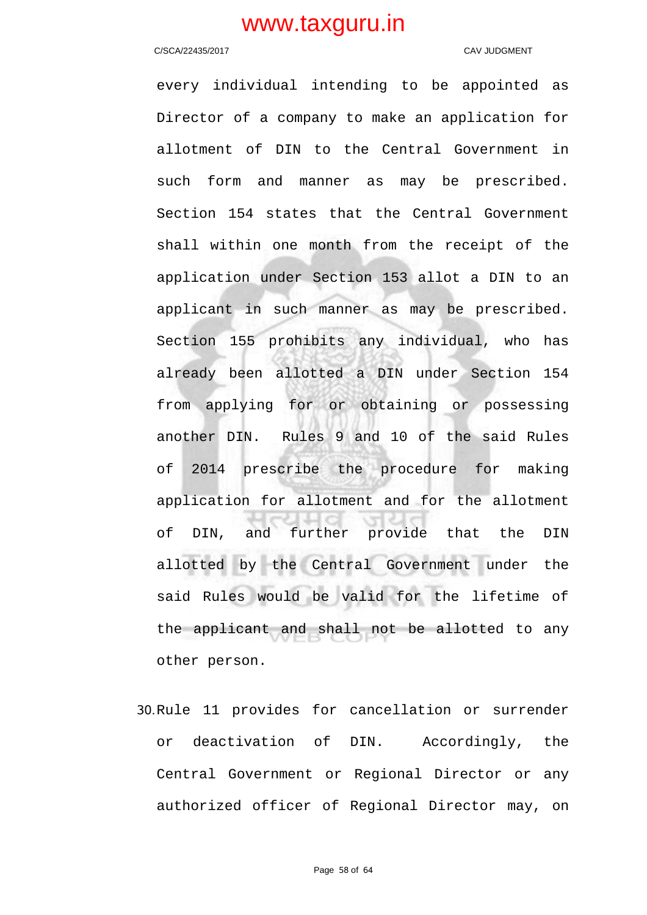### C/SCA/22435/2017 CAV JUDGMENT

every individual intending to be appointed as Director of a company to make an application for allotment of DIN to the Central Government in such form and manner as may be prescribed. Section 154 states that the Central Government shall within one month from the receipt of the application under Section 153 allot a DIN to an applicant in such manner as may be prescribed. Section 155 prohibits any individual, who has already been allotted a DIN under Section 154 from applying for or obtaining or possessing another DIN. Rules 9 and 10 of the said Rules of 2014 prescribe the procedure for making application for allotment and for the allotment of DIN, and further provide that the DIN allotted by the Central Government under the said Rules would be valid for the lifetime of the applicant and shall not be allotted to any other person.

30.Rule 11 provides for cancellation or surrender or deactivation of DIN. Accordingly, the Central Government or Regional Director or any authorized officer of Regional Director may, on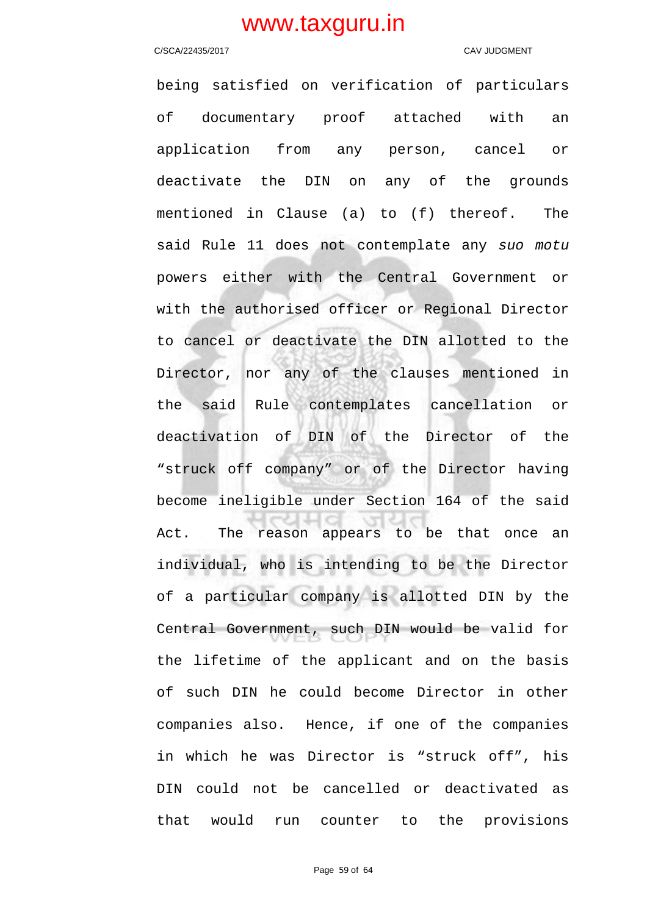### C/SCA/22435/2017 CAV JUDGMENT

being satisfied on verification of particulars of documentary proof attached with an application from any person, cancel or deactivate the DIN on any of the grounds mentioned in Clause (a) to (f) thereof. The said Rule 11 does not contemplate any suo motu powers either with the Central Government or with the authorised officer or Regional Director to cancel or deactivate the DIN allotted to the Director, nor any of the clauses mentioned in the said Rule contemplates cancellation or deactivation of DIN of the Director of the "struck off company" or of the Director having become ineligible under Section 164 of the said Act. The reason appears to be that once an individual, who is intending to be the Director of a particular company is allotted DIN by the Central Government, such DIN would be valid for the lifetime of the applicant and on the basis of such DIN he could become Director in other companies also. Hence, if one of the companies in which he was Director is "struck off", his DIN could not be cancelled or deactivated as that would run counter to the provisions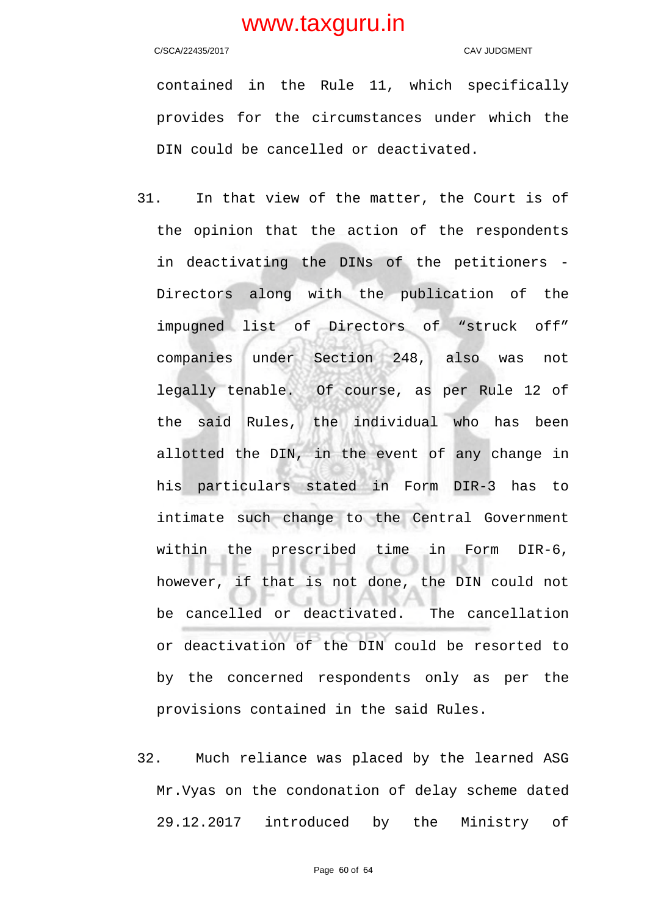### C/SCA/22435/2017 CAV JUDGMENT

contained in the Rule 11, which specifically provides for the circumstances under which the DIN could be cancelled or deactivated.

- 31. In that view of the matter, the Court is of the opinion that the action of the respondents in deactivating the DINs of the petitioners - Directors along with the publication of the impugned list of Directors of "struck off" companies under Section 248, also was not legally tenable. Of course, as per Rule 12 of the said Rules, the individual who has been allotted the DIN, in the event of any change in his particulars stated in Form DIR-3 has to intimate such change to the Central Government within the prescribed time in Form DIR-6, however, if that is not done, the DIN could not be cancelled or deactivated. The cancellation or deactivation of the DIN could be resorted to by the concerned respondents only as per the provisions contained in the said Rules.
- 32. Much reliance was placed by the learned ASG Mr.Vyas on the condonation of delay scheme dated 29.12.2017 introduced by the Ministry of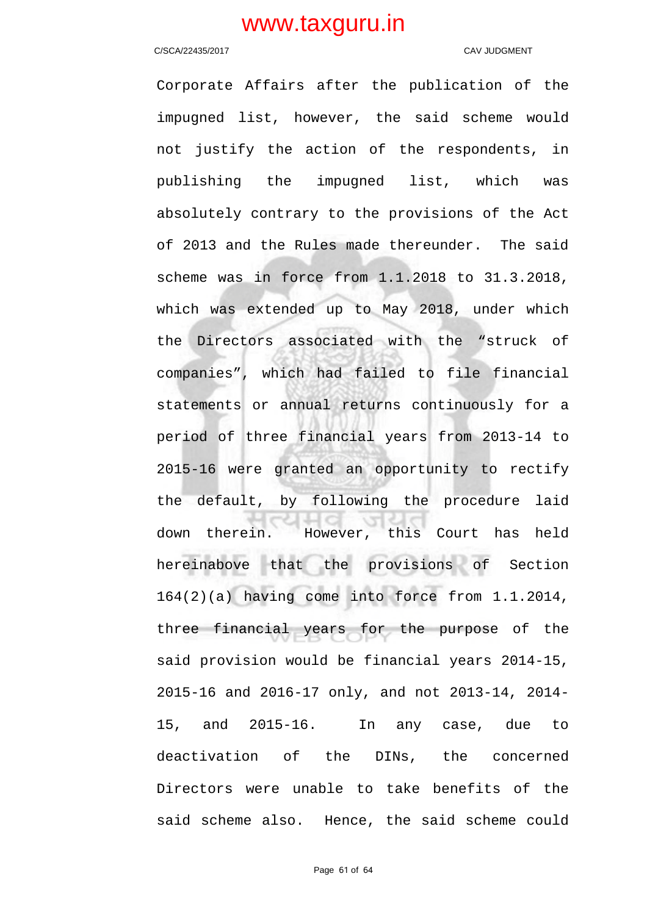### C/SCA/22435/2017 C/SCA/22435/2017

Corporate Affairs after the publication of the impugned list, however, the said scheme would not justify the action of the respondents, in publishing the impugned list, which was absolutely contrary to the provisions of the Act of 2013 and the Rules made thereunder. The said scheme was in force from 1.1.2018 to 31.3.2018, which was extended up to May 2018, under which the Directors associated with the "struck of companies", which had failed to file financial statements or annual returns continuously for a period of three financial years from 2013-14 to 2015-16 were granted an opportunity to rectify the default, by following the procedure laid down therein. However, this Court has held hereinabove that the provisions of Section 164(2)(a) having come into force from 1.1.2014, three financial years for the purpose of the said provision would be financial years 2014-15, 2015-16 and 2016-17 only, and not 2013-14, 2014- 15, and 2015-16. In any case, due to deactivation of the DINs, the concerned Directors were unable to take benefits of the said scheme also. Hence, the said scheme could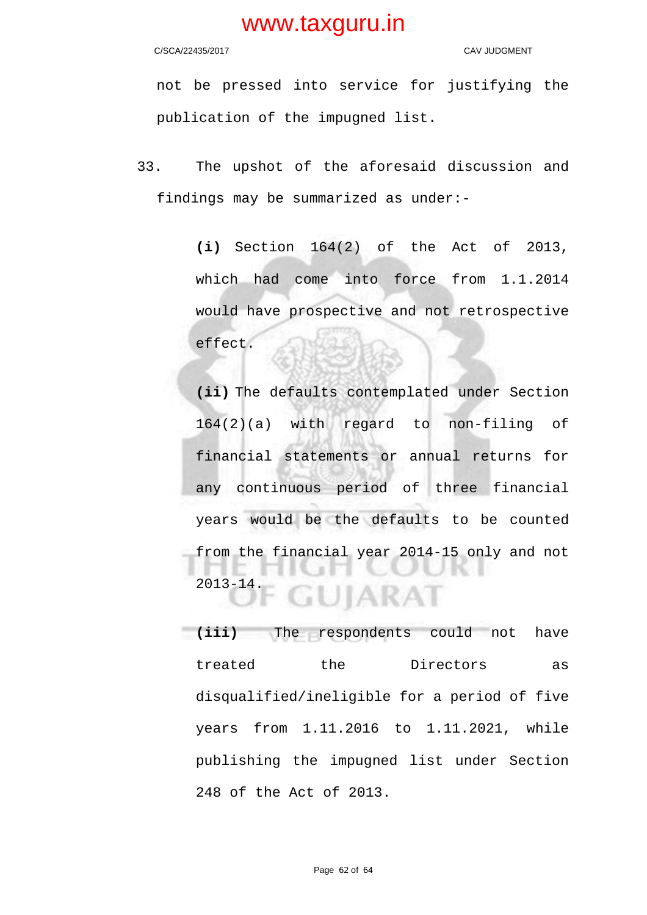C/SCA/22435/2017 C/SCA/22435/2017

not be pressed into service for justifying the publication of the impugned list.

33. The upshot of the aforesaid discussion and findings may be summarized as under:-

> **(i)** Section 164(2) of the Act of 2013, which had come into force from 1.1.2014 would have prospective and not retrospective effect.

> **(ii)** The defaults contemplated under Section 164(2)(a) with regard to non-filing of financial statements or annual returns for any continuous period of three financial years would be the defaults to be counted from the financial year 2014-15 only and not 2013-14. JIARA1

**(iii)** The respondents could not have treated the Directors as disqualified/ineligible for a period of five years from 1.11.2016 to 1.11.2021, while publishing the impugned list under Section 248 of the Act of 2013.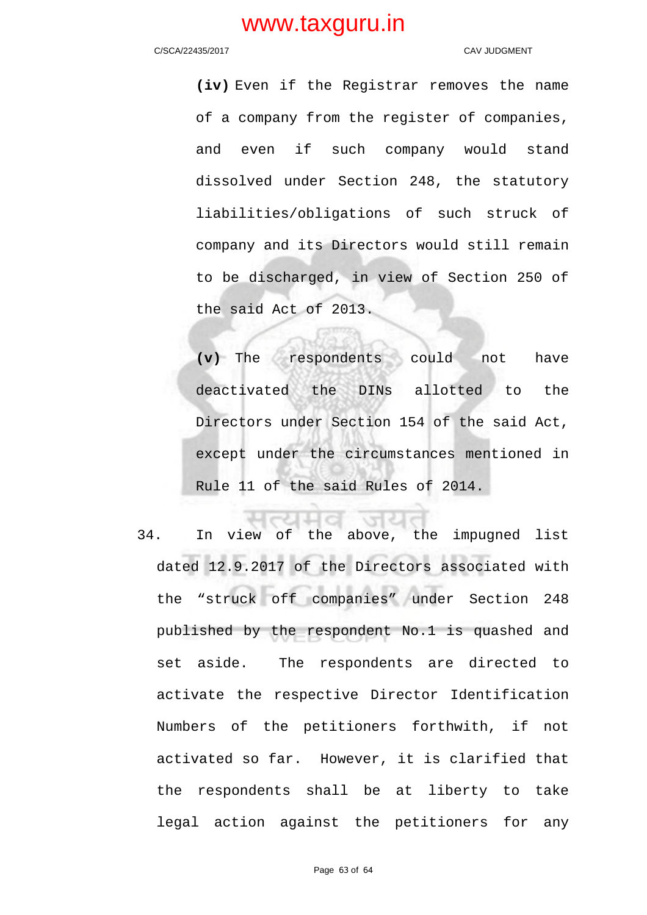### C/SCA/22435/2017 CAV JUDGMENT

**(iv)** Even if the Registrar removes the name of a company from the register of companies, and even if such company would stand dissolved under Section 248, the statutory liabilities/obligations of such struck of company and its Directors would still remain to be discharged, in view of Section 250 of the said Act of 2013.

**(v)** The respondents could not have deactivated the DINs allotted to the Directors under Section 154 of the said Act, except under the circumstances mentioned in Rule 11 of the said Rules of 2014.

34. In view of the above, the impugned list dated 12.9.2017 of the Directors associated with the "struck off companies" under Section 248 published by the respondent No.1 is quashed and set aside. The respondents are directed to activate the respective Director Identification Numbers of the petitioners forthwith, if not activated so far. However, it is clarified that the respondents shall be at liberty to take legal action against the petitioners for any